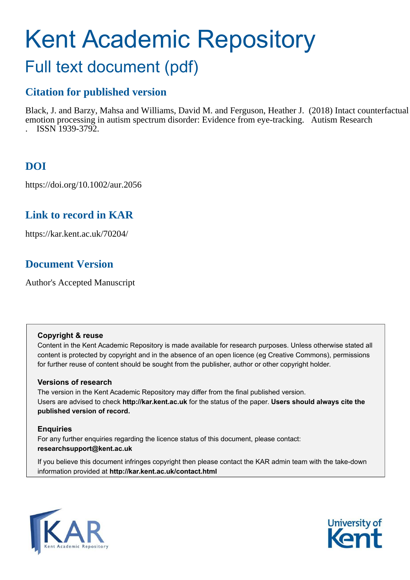# Kent Academic Repository

# Full text document (pdf)

# **Citation for published version**

Black, J. and Barzy, Mahsa and Williams, David M. and Ferguson, Heather J. (2018) Intact counterfactual emotion processing in autism spectrum disorder: Evidence from eye-tracking. Autism Research . ISSN 1939-3792.

# **DOI**

https://doi.org/10.1002/aur.2056

# **Link to record in KAR**

https://kar.kent.ac.uk/70204/

# **Document Version**

Author's Accepted Manuscript

# **Copyright & reuse**

Content in the Kent Academic Repository is made available for research purposes. Unless otherwise stated all content is protected by copyright and in the absence of an open licence (eg Creative Commons), permissions for further reuse of content should be sought from the publisher, author or other copyright holder.

# **Versions of research**

The version in the Kent Academic Repository may differ from the final published version. Users are advised to check **http://kar.kent.ac.uk** for the status of the paper. **Users should always cite the published version of record.**

# **Enquiries**

For any further enquiries regarding the licence status of this document, please contact: **researchsupport@kent.ac.uk**

If you believe this document infringes copyright then please contact the KAR admin team with the take-down information provided at **http://kar.kent.ac.uk/contact.html**



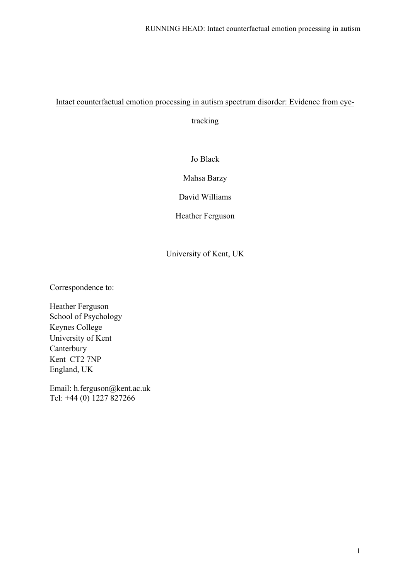# Intact counterfactual emotion processing in autism spectrum disorder: Evidence from eye-

tracking

Jo Black

Mahsa Barzy

David Williams

Heather Ferguson

University of Kent, UK

Correspondence to:

Heather Ferguson School of Psychology Keynes College University of Kent Canterbury Kent CT2 7NP England, UK

Email: h.ferguson@kent.ac.uk Tel: +44 (0) 1227 827266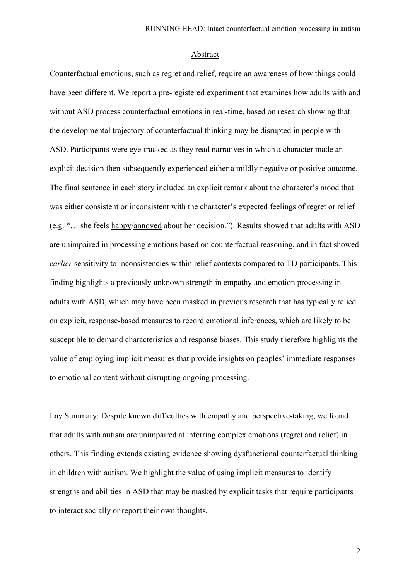#### Abstract

Counterfactual emotions, such as regret and relief, require an awareness of how things could have been different. We report a pre-registered experiment that examines how adults with and without ASD process counterfactual emotions in real-time, based on research showing that the developmental trajectory of counterfactual thinking may be disrupted in people with ASD. Participants were eye-tracked as they read narratives in which a character made an explicit decision then subsequently experienced either a mildly negative or positive outcome. The final sentence in each story included an explicit remark about the character's mood that was either consistent or inconsistent with the character's expected feelings of regret or relief (e.g. "… she feels happy/annoyed about her decision."). Results showed that adults with ASD are unimpaired in processing emotions based on counterfactual reasoning, and in fact showed *earlier* sensitivity to inconsistencies within relief contexts compared to TD participants. This finding highlights a previously unknown strength in empathy and emotion processing in adults with ASD, which may have been masked in previous research that has typically relied on explicit, response-based measures to record emotional inferences, which are likely to be susceptible to demand characteristics and response biases. This study therefore highlights the value of employing implicit measures that provide insights on peoples' immediate responses to emotional content without disrupting ongoing processing.

Lay Summary: Despite known difficulties with empathy and perspective-taking, we found that adults with autism are unimpaired at inferring complex emotions (regret and relief) in others. This finding extends existing evidence showing dysfunctional counterfactual thinking in children with autism. We highlight the value of using implicit measures to identify strengths and abilities in ASD that may be masked by explicit tasks that require participants to interact socially or report their own thoughts.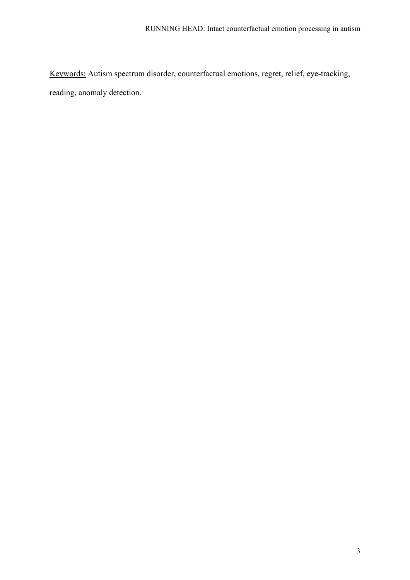Keywords: Autism spectrum disorder, counterfactual emotions, regret, relief, eye-tracking, reading, anomaly detection.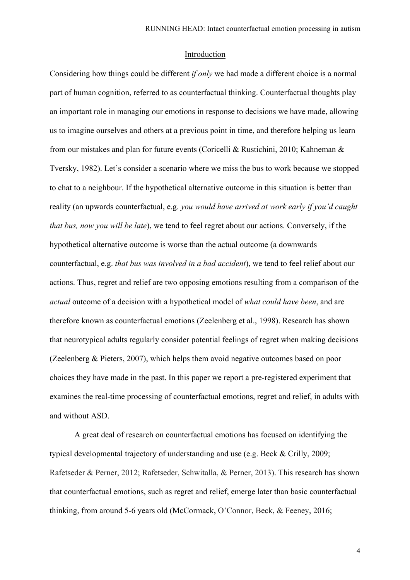#### Introduction

Considering how things could be different *if only* we had made a different choice is a normal part of human cognition, referred to as counterfactual thinking. Counterfactual thoughts play an important role in managing our emotions in response to decisions we have made, allowing us to imagine ourselves and others at a previous point in time, and therefore helping us learn from our mistakes and plan for future events (Coricelli & Rustichini, 2010; Kahneman & Tversky, 1982). Let's consider a scenario where we miss the bus to work because we stopped to chat to a neighbour. If the hypothetical alternative outcome in this situation is better than reality (an upwards counterfactual, e.g. *you would have arrived at work early if you'd caught that bus, now you will be late*), we tend to feel regret about our actions. Conversely, if the hypothetical alternative outcome is worse than the actual outcome (a downwards counterfactual, e.g. *that bus was involved in a bad accident*), we tend to feel relief about our actions. Thus, regret and relief are two opposing emotions resulting from a comparison of the *actual* outcome of a decision with a hypothetical model of *what could have been*, and are therefore known as counterfactual emotions (Zeelenberg et al., 1998). Research has shown that neurotypical adults regularly consider potential feelings of regret when making decisions (Zeelenberg & Pieters, 2007), which helps them avoid negative outcomes based on poor choices they have made in the past. In this paper we report a pre-registered experiment that examines the real-time processing of counterfactual emotions, regret and relief, in adults with and without ASD.

A great deal of research on counterfactual emotions has focused on identifying the typical developmental trajectory of understanding and use (e.g. Beck & Crilly, 2009; Rafetseder & Perner, 2012; Rafetseder, Schwitalla, & Perner, 2013). This research has shown that counterfactual emotions, such as regret and relief, emerge later than basic counterfactual thinking, from around 5-6 years old (McCormack, O'Connor, Beck, & Feeney, 2016;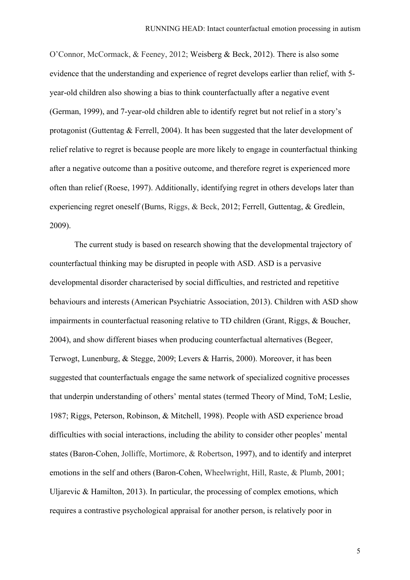O'Connor, McCormack, & Feeney, 2012; Weisberg & Beck, 2012). There is also some evidence that the understanding and experience of regret develops earlier than relief, with 5 year-old children also showing a bias to think counterfactually after a negative event (German, 1999), and 7-year-old children able to identify regret but not relief in a story's protagonist (Guttentag & Ferrell, 2004). It has been suggested that the later development of relief relative to regret is because people are more likely to engage in counterfactual thinking after a negative outcome than a positive outcome, and therefore regret is experienced more often than relief (Roese, 1997). Additionally, identifying regret in others develops later than experiencing regret oneself (Burns, Riggs, & Beck, 2012; Ferrell, Guttentag, & Gredlein, 2009).

The current study is based on research showing that the developmental trajectory of counterfactual thinking may be disrupted in people with ASD. ASD is a pervasive developmental disorder characterised by social difficulties, and restricted and repetitive behaviours and interests (American Psychiatric Association, 2013). Children with ASD show impairments in counterfactual reasoning relative to TD children (Grant, Riggs, & Boucher, 2004), and show different biases when producing counterfactual alternatives (Begeer, Terwogt, Lunenburg, & Stegge, 2009; Levers & Harris, 2000). Moreover, it has been suggested that counterfactuals engage the same network of specialized cognitive processes that underpin understanding of others' mental states (termed Theory of Mind, ToM; Leslie, 1987; Riggs, Peterson, Robinson, & Mitchell, 1998). People with ASD experience broad difficulties with social interactions, including the ability to consider other peoples' mental states (Baron-Cohen, Jolliffe, Mortimore, & Robertson, 1997), and to identify and interpret emotions in the self and others (Baron-Cohen, Wheelwright, Hill, Raste, & Plumb, 2001; Uljarevic & Hamilton, 2013). In particular, the processing of complex emotions, which requires a contrastive psychological appraisal for another person, is relatively poor in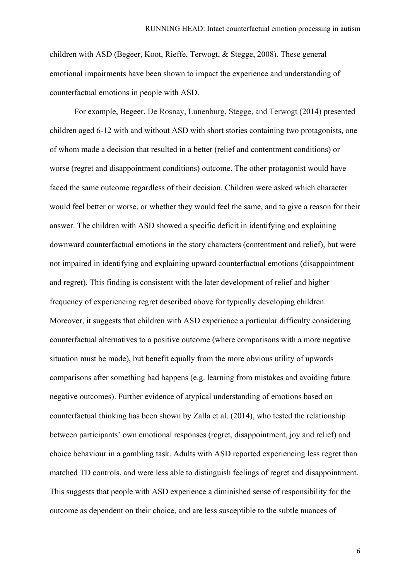children with ASD (Begeer, Koot, Rieffe, Terwogt, & Stegge, 2008). These general emotional impairments have been shown to impact the experience and understanding of counterfactual emotions in people with ASD.

For example, Begeer, De Rosnay, Lunenburg, Stegge, and Terwogt (2014) presented children aged 6-12 with and without ASD with short stories containing two protagonists, one of whom made a decision that resulted in a better (relief and contentment conditions) or worse (regret and disappointment conditions) outcome. The other protagonist would have faced the same outcome regardless of their decision. Children were asked which character would feel better or worse, or whether they would feel the same, and to give a reason for their answer. The children with ASD showed a specific deficit in identifying and explaining downward counterfactual emotions in the story characters (contentment and relief), but were not impaired in identifying and explaining upward counterfactual emotions (disappointment and regret). This finding is consistent with the later development of relief and higher frequency of experiencing regret described above for typically developing children. Moreover, it suggests that children with ASD experience a particular difficulty considering counterfactual alternatives to a positive outcome (where comparisons with a more negative situation must be made), but benefit equally from the more obvious utility of upwards comparisons after something bad happens (e.g. learning from mistakes and avoiding future negative outcomes). Further evidence of atypical understanding of emotions based on counterfactual thinking has been shown by Zalla et al. (2014), who tested the relationship between participants' own emotional responses (regret, disappointment, joy and relief) and choice behaviour in a gambling task. Adults with ASD reported experiencing less regret than matched TD controls, and were less able to distinguish feelings of regret and disappointment. This suggests that people with ASD experience a diminished sense of responsibility for the outcome as dependent on their choice, and are less susceptible to the subtle nuances of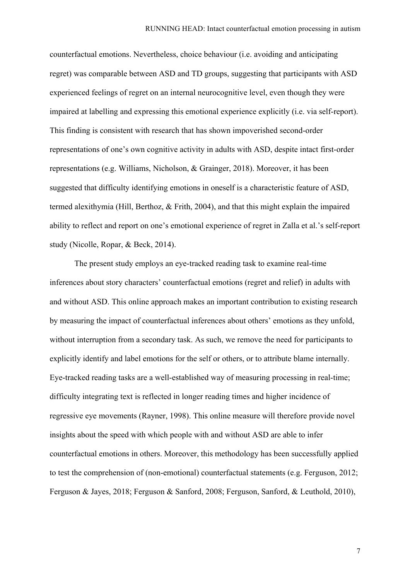counterfactual emotions. Nevertheless, choice behaviour (i.e. avoiding and anticipating regret) was comparable between ASD and TD groups, suggesting that participants with ASD experienced feelings of regret on an internal neurocognitive level, even though they were impaired at labelling and expressing this emotional experience explicitly (i.e. via self-report). This finding is consistent with research that has shown impoverished second-order representations of one's own cognitive activity in adults with ASD, despite intact first-order representations (e.g. Williams, Nicholson, & Grainger, 2018). Moreover, it has been suggested that difficulty identifying emotions in oneself is a characteristic feature of ASD, termed alexithymia (Hill, Berthoz, & Frith, 2004), and that this might explain the impaired ability to reflect and report on one's emotional experience of regret in Zalla et al.'s self-report study (Nicolle, Ropar, & Beck, 2014).

The present study employs an eye-tracked reading task to examine real-time inferences about story characters' counterfactual emotions (regret and relief) in adults with and without ASD. This online approach makes an important contribution to existing research by measuring the impact of counterfactual inferences about others' emotions as they unfold, without interruption from a secondary task. As such, we remove the need for participants to explicitly identify and label emotions for the self or others, or to attribute blame internally. Eye-tracked reading tasks are a well-established way of measuring processing in real-time; difficulty integrating text is reflected in longer reading times and higher incidence of regressive eye movements (Rayner, 1998). This online measure will therefore provide novel insights about the speed with which people with and without ASD are able to infer counterfactual emotions in others. Moreover, this methodology has been successfully applied to test the comprehension of (non-emotional) counterfactual statements (e.g. Ferguson, 2012; Ferguson & Jayes, 2018; Ferguson & Sanford, 2008; Ferguson, Sanford, & Leuthold, 2010),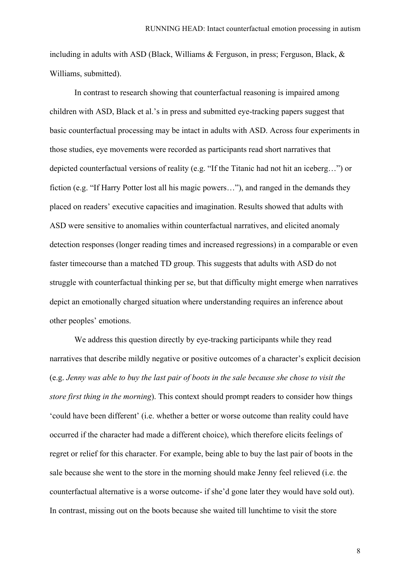including in adults with ASD (Black, Williams & Ferguson, in press; Ferguson, Black, & Williams, submitted).

In contrast to research showing that counterfactual reasoning is impaired among children with ASD, Black et al.'s in press and submitted eye-tracking papers suggest that basic counterfactual processing may be intact in adults with ASD. Across four experiments in those studies, eye movements were recorded as participants read short narratives that depicted counterfactual versions of reality (e.g. "If the Titanic had not hit an iceberg…") or fiction (e.g. "If Harry Potter lost all his magic powers…"), and ranged in the demands they placed on readers' executive capacities and imagination. Results showed that adults with ASD were sensitive to anomalies within counterfactual narratives, and elicited anomaly detection responses (longer reading times and increased regressions) in a comparable or even faster timecourse than a matched TD group. This suggests that adults with ASD do not struggle with counterfactual thinking per se, but that difficulty might emerge when narratives depict an emotionally charged situation where understanding requires an inference about other peoples' emotions.

We address this question directly by eye-tracking participants while they read narratives that describe mildly negative or positive outcomes of a character's explicit decision (e.g. *Jenny was able to buy the last pair of boots in the sale because she chose to visit the store first thing in the morning*). This context should prompt readers to consider how things 'could have been different' (i.e. whether a better or worse outcome than reality could have occurred if the character had made a different choice), which therefore elicits feelings of regret or relief for this character. For example, being able to buy the last pair of boots in the sale because she went to the store in the morning should make Jenny feel relieved (i.e. the counterfactual alternative is a worse outcome- if she'd gone later they would have sold out). In contrast, missing out on the boots because she waited till lunchtime to visit the store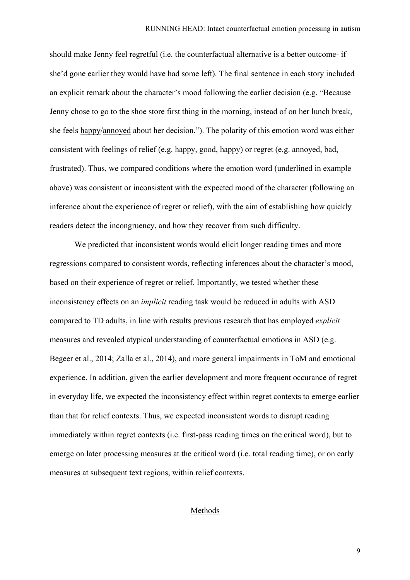should make Jenny feel regretful (i.e. the counterfactual alternative is a better outcome- if she'd gone earlier they would have had some left). The final sentence in each story included an explicit remark about the character's mood following the earlier decision (e.g. "Because Jenny chose to go to the shoe store first thing in the morning, instead of on her lunch break, she feels happy/annoyed about her decision."). The polarity of this emotion word was either consistent with feelings of relief (e.g. happy, good, happy) or regret (e.g. annoyed, bad, frustrated). Thus, we compared conditions where the emotion word (underlined in example above) was consistent or inconsistent with the expected mood of the character (following an inference about the experience of regret or relief), with the aim of establishing how quickly readers detect the incongruency, and how they recover from such difficulty.

We predicted that inconsistent words would elicit longer reading times and more regressions compared to consistent words, reflecting inferences about the character's mood, based on their experience of regret or relief. Importantly, we tested whether these inconsistency effects on an *implicit* reading task would be reduced in adults with ASD compared to TD adults, in line with results previous research that has employed *explicit*  measures and revealed atypical understanding of counterfactual emotions in ASD (e.g. Begeer et al., 2014; Zalla et al., 2014), and more general impairments in ToM and emotional experience. In addition, given the earlier development and more frequent occurance of regret in everyday life, we expected the inconsistency effect within regret contexts to emerge earlier than that for relief contexts. Thus, we expected inconsistent words to disrupt reading immediately within regret contexts (i.e. first-pass reading times on the critical word), but to emerge on later processing measures at the critical word (i.e. total reading time), or on early measures at subsequent text regions, within relief contexts.

# Methods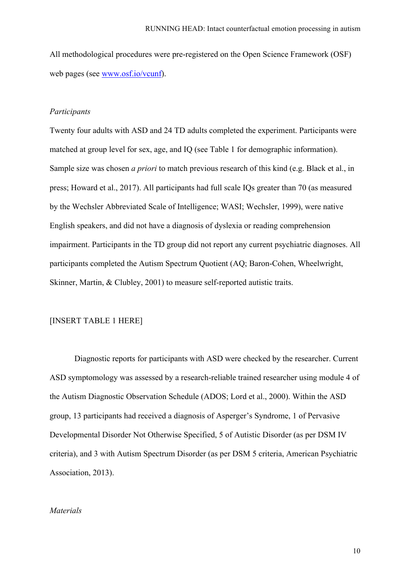All methodological procedures were pre-registered on the Open Science Framework (OSF) web pages (see www.osf.io/vcunf).

#### *Participants*

Twenty four adults with ASD and 24 TD adults completed the experiment. Participants were matched at group level for sex, age, and IQ (see Table 1 for demographic information). Sample size was chosen *a priori* to match previous research of this kind (e.g. Black et al., in press; Howard et al., 2017). All participants had full scale IQs greater than 70 (as measured by the Wechsler Abbreviated Scale of Intelligence; WASI; Wechsler, 1999), were native English speakers, and did not have a diagnosis of dyslexia or reading comprehension impairment. Participants in the TD group did not report any current psychiatric diagnoses. All participants completed the Autism Spectrum Quotient (AQ; Baron-Cohen, Wheelwright, Skinner, Martin, & Clubley, 2001) to measure self-reported autistic traits.

# [INSERT TABLE 1 HERE]

Diagnostic reports for participants with ASD were checked by the researcher. Current ASD symptomology was assessed by a research-reliable trained researcher using module 4 of the Autism Diagnostic Observation Schedule (ADOS; Lord et al., 2000). Within the ASD group, 13 participants had received a diagnosis of Asperger's Syndrome, 1 of Pervasive Developmental Disorder Not Otherwise Specified, 5 of Autistic Disorder (as per DSM IV criteria), and 3 with Autism Spectrum Disorder (as per DSM 5 criteria, American Psychiatric Association, 2013).

# *Materials*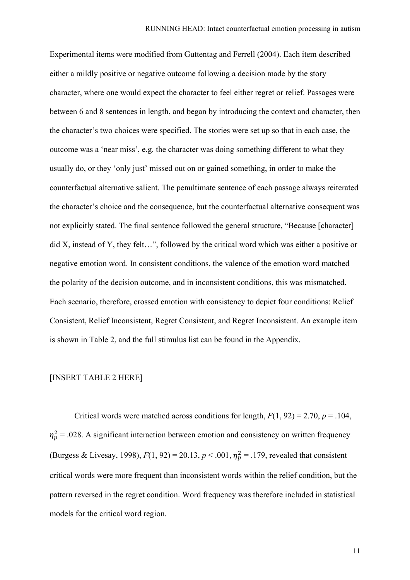Experimental items were modified from Guttentag and Ferrell (2004). Each item described either a mildly positive or negative outcome following a decision made by the story character, where one would expect the character to feel either regret or relief. Passages were between 6 and 8 sentences in length, and began by introducing the context and character, then the character's two choices were specified. The stories were set up so that in each case, the outcome was a 'near miss', e.g. the character was doing something different to what they usually do, or they 'only just' missed out on or gained something, in order to make the counterfactual alternative salient. The penultimate sentence of each passage always reiterated the character's choice and the consequence, but the counterfactual alternative consequent was not explicitly stated. The final sentence followed the general structure, "Because [character] did X, instead of Y, they felt…", followed by the critical word which was either a positive or negative emotion word. In consistent conditions, the valence of the emotion word matched the polarity of the decision outcome, and in inconsistent conditions, this was mismatched. Each scenario, therefore, crossed emotion with consistency to depict four conditions: Relief Consistent, Relief Inconsistent, Regret Consistent, and Regret Inconsistent. An example item is shown in Table 2, and the full stimulus list can be found in the Appendix.

#### [INSERT TABLE 2 HERE]

Critical words were matched across conditions for length,  $F(1, 92) = 2.70$ ,  $p = .104$ ,  $\eta_p^2$  = .028. A significant interaction between emotion and consistency on written frequency (Burgess & Livesay, 1998),  $F(1, 92) = 20.13$ ,  $p < .001$ ,  $\eta_p^2 = .179$ , revealed that consistent critical words were more frequent than inconsistent words within the relief condition, but the pattern reversed in the regret condition. Word frequency was therefore included in statistical models for the critical word region.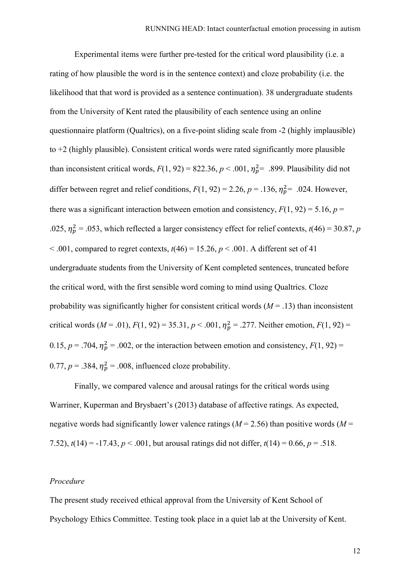Experimental items were further pre-tested for the critical word plausibility (i.e. a rating of how plausible the word is in the sentence context) and cloze probability (i.e. the likelihood that that word is provided as a sentence continuation). 38 undergraduate students from the University of Kent rated the plausibility of each sentence using an online questionnaire platform (Qualtrics), on a five-point sliding scale from -2 (highly implausible) to +2 (highly plausible). Consistent critical words were rated significantly more plausible than inconsistent critical words,  $F(1, 92) = 822.36$ ,  $p < .001$ ,  $\eta_p^2 = .899$ . Plausibility did not differ between regret and relief conditions,  $F(1, 92) = 2.26$ ,  $p = .136$ ,  $\eta_p^2 = .024$ . However, there was a significant interaction between emotion and consistency,  $F(1, 92) = 5.16$ ,  $p =$ .025,  $\eta_p^2$  = .053, which reflected a larger consistency effect for relief contexts, *t*(46) = 30.87, *p*  $< .001$ , compared to regret contexts,  $t(46) = 15.26$ ,  $p < .001$ . A different set of 41 undergraduate students from the University of Kent completed sentences, truncated before the critical word, with the first sensible word coming to mind using Qualtrics. Cloze probability was significantly higher for consistent critical words  $(M = .13)$  than inconsistent critical words ( $M = .01$ ),  $F(1, 92) = 35.31$ ,  $p < .001$ ,  $\eta_p^2 = .277$ . Neither emotion,  $F(1, 92) =$ 0.15,  $p = .704$ ,  $\eta_p^2 = .002$ , or the interaction between emotion and consistency,  $F(1, 92) =$ 0.77,  $p = 0.384$ ,  $\eta_p^2 = 0.008$ , influenced cloze probability.

Finally, we compared valence and arousal ratings for the critical words using Warriner, Kuperman and Brysbaert's (2013) database of affective ratings. As expected, negative words had significantly lower valence ratings ( $M = 2.56$ ) than positive words ( $M =$ 7.52),  $t(14) = -17.43$ ,  $p < .001$ , but arousal ratings did not differ,  $t(14) = 0.66$ ,  $p = .518$ .

#### *Procedure*

The present study received ethical approval from the University of Kent School of Psychology Ethics Committee. Testing took place in a quiet lab at the University of Kent.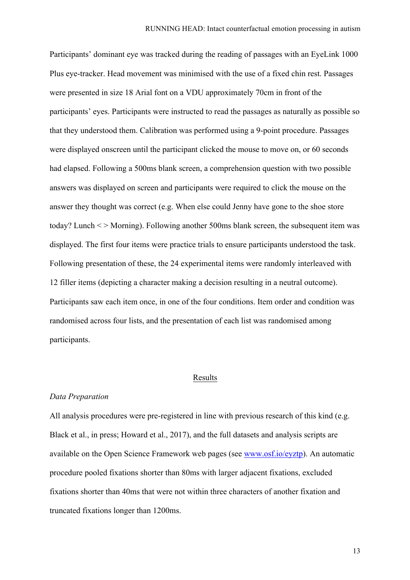Participants' dominant eye was tracked during the reading of passages with an EyeLink 1000 Plus eye-tracker. Head movement was minimised with the use of a fixed chin rest. Passages were presented in size 18 Arial font on a VDU approximately 70cm in front of the participants' eyes. Participants were instructed to read the passages as naturally as possible so that they understood them. Calibration was performed using a 9-point procedure. Passages were displayed onscreen until the participant clicked the mouse to move on, or 60 seconds had elapsed. Following a 500ms blank screen, a comprehension question with two possible answers was displayed on screen and participants were required to click the mouse on the answer they thought was correct (e.g. When else could Jenny have gone to the shoe store today? Lunch < > Morning). Following another 500ms blank screen, the subsequent item was displayed. The first four items were practice trials to ensure participants understood the task. Following presentation of these, the 24 experimental items were randomly interleaved with 12 filler items (depicting a character making a decision resulting in a neutral outcome). Participants saw each item once, in one of the four conditions. Item order and condition was randomised across four lists, and the presentation of each list was randomised among participants.

#### Results

#### *Data Preparation*

All analysis procedures were pre-registered in line with previous research of this kind (e.g. Black et al., in press; Howard et al., 2017), and the full datasets and analysis scripts are available on the Open Science Framework web pages (see www.osf.io/eyztp). An automatic procedure pooled fixations shorter than 80ms with larger adjacent fixations, excluded fixations shorter than 40ms that were not within three characters of another fixation and truncated fixations longer than 1200ms.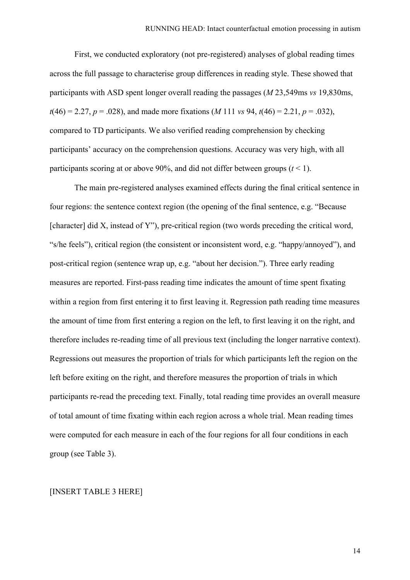First, we conducted exploratory (not pre-registered) analyses of global reading times across the full passage to characterise group differences in reading style. These showed that participants with ASD spent longer overall reading the passages (*M* 23,549ms *vs* 19,830ms,  $t(46) = 2.27$ ,  $p = .028$ ), and made more fixations (*M* 111 *vs* 94,  $t(46) = 2.21$ ,  $p = .032$ ), compared to TD participants. We also verified reading comprehension by checking participants' accuracy on the comprehension questions. Accuracy was very high, with all participants scoring at or above 90%, and did not differ between groups (*t* < 1).

The main pre-registered analyses examined effects during the final critical sentence in four regions: the sentence context region (the opening of the final sentence, e.g. "Because [character] did X, instead of Y"), pre-critical region (two words preceding the critical word, "s/he feels"), critical region (the consistent or inconsistent word, e.g. "happy/annoyed"), and post-critical region (sentence wrap up, e.g. "about her decision."). Three early reading measures are reported. First-pass reading time indicates the amount of time spent fixating within a region from first entering it to first leaving it. Regression path reading time measures the amount of time from first entering a region on the left, to first leaving it on the right, and therefore includes re-reading time of all previous text (including the longer narrative context). Regressions out measures the proportion of trials for which participants left the region on the left before exiting on the right, and therefore measures the proportion of trials in which participants re-read the preceding text. Finally, total reading time provides an overall measure of total amount of time fixating within each region across a whole trial. Mean reading times were computed for each measure in each of the four regions for all four conditions in each group (see Table 3).

#### [INSERT TABLE 3 HERE]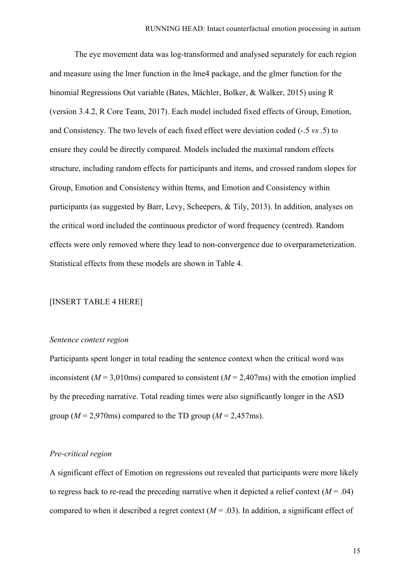The eye movement data was log-transformed and analysed separately for each region and measure using the lmer function in the lme4 package, and the glmer function for the binomial Regressions Out variable (Bates, Mächler, Bolker, & Walker, 2015) using R (version 3.4.2, R Core Team, 2017). Each model included fixed effects of Group, Emotion, and Consistency. The two levels of each fixed effect were deviation coded (-.5 *vs* .5) to ensure they could be directly compared. Models included the maximal random effects structure, including random effects for participants and items, and crossed random slopes for Group, Emotion and Consistency within Items, and Emotion and Consistency within participants (as suggested by Barr, Levy, Scheepers, & Tily, 2013). In addition, analyses on the critical word included the continuous predictor of word frequency (centred). Random effects were only removed where they lead to non-convergence due to overparameterization. Statistical effects from these models are shown in Table 4.

#### [INSERT TABLE 4 HERE]

#### *Sentence context region*

Participants spent longer in total reading the sentence context when the critical word was inconsistent ( $M = 3,010$ ms) compared to consistent ( $M = 2,407$ ms) with the emotion implied by the preceding narrative. Total reading times were also significantly longer in the ASD group ( $M = 2.970$ ms) compared to the TD group ( $M = 2.457$ ms).

#### *Pre-critical region*

A significant effect of Emotion on regressions out revealed that participants were more likely to regress back to re-read the preceding narrative when it depicted a relief context  $(M = .04)$ compared to when it described a regret context  $(M = .03)$ . In addition, a significant effect of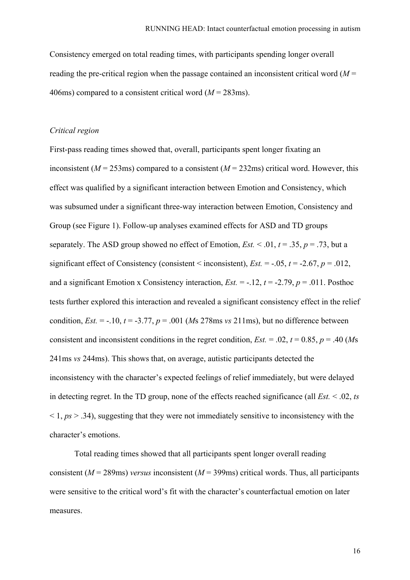Consistency emerged on total reading times, with participants spending longer overall reading the pre-critical region when the passage contained an inconsistent critical word (*M* = 406ms) compared to a consistent critical word (*M* = 283ms).

#### *Critical region*

First-pass reading times showed that, overall, participants spent longer fixating an inconsistent ( $M = 253$ ms) compared to a consistent ( $M = 232$ ms) critical word. However, this effect was qualified by a significant interaction between Emotion and Consistency, which was subsumed under a significant three-way interaction between Emotion, Consistency and Group (see Figure 1). Follow-up analyses examined effects for ASD and TD groups separately. The ASD group showed no effect of Emotion, *Est.*  $\leq$  .01,  $t = .35$ ,  $p = .73$ , but a significant effect of Consistency (consistent < inconsistent),  $Est. = -0.05$ ,  $t = -2.67$ ,  $p = 0.012$ , and a significant Emotion x Consistency interaction,  $Est. = -12$ ,  $t = -2.79$ ,  $p = .011$ . Posthoc tests further explored this interaction and revealed a significant consistency effect in the relief condition,  $Est. = -10$ ,  $t = -3.77$ ,  $p = .001$  (*Ms* 278ms *vs* 211ms), but no difference between consistent and inconsistent conditions in the regret condition,  $Est = 0.02$ ,  $t = 0.85$ ,  $p = .40$  (*Ms*) 241ms *vs* 244ms). This shows that, on average, autistic participants detected the inconsistency with the character's expected feelings of relief immediately, but were delayed in detecting regret. In the TD group, none of the effects reached significance (all *Est.* < .02, *ts*  $\leq 1$ ,  $ps > .34$ ), suggesting that they were not immediately sensitive to inconsistency with the character's emotions.

Total reading times showed that all participants spent longer overall reading consistent ( $M = 289$ ms) *versus* inconsistent ( $M = 399$ ms) critical words. Thus, all participants were sensitive to the critical word's fit with the character's counterfactual emotion on later measures.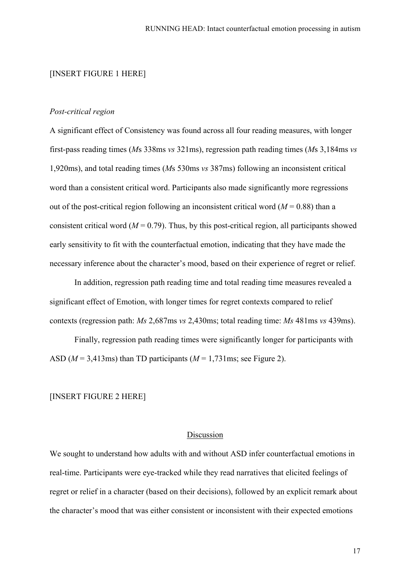#### [INSERT FIGURE 1 HERE]

#### *Post-critical region*

A significant effect of Consistency was found across all four reading measures, with longer first-pass reading times (*M*s 338ms *vs* 321ms), regression path reading times (*M*s 3,184ms *vs* 1,920ms), and total reading times (*M*s 530ms *vs* 387ms) following an inconsistent critical word than a consistent critical word. Participants also made significantly more regressions out of the post-critical region following an inconsistent critical word ( $M = 0.88$ ) than a consistent critical word ( $M = 0.79$ ). Thus, by this post-critical region, all participants showed early sensitivity to fit with the counterfactual emotion, indicating that they have made the necessary inference about the character's mood, based on their experience of regret or relief.

In addition, regression path reading time and total reading time measures revealed a significant effect of Emotion, with longer times for regret contexts compared to relief contexts (regression path: *Ms* 2,687ms *vs* 2,430ms; total reading time: *Ms* 481ms *vs* 439ms).

Finally, regression path reading times were significantly longer for participants with ASD ( $M = 3,413$ ms) than TD participants ( $M = 1,731$ ms; see Figure 2).

#### [INSERT FIGURE 2 HERE]

#### Discussion

We sought to understand how adults with and without ASD infer counterfactual emotions in real-time. Participants were eye-tracked while they read narratives that elicited feelings of regret or relief in a character (based on their decisions), followed by an explicit remark about the character's mood that was either consistent or inconsistent with their expected emotions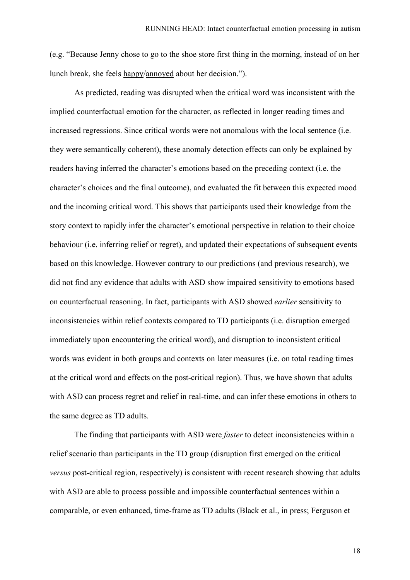(e.g. "Because Jenny chose to go to the shoe store first thing in the morning, instead of on her lunch break, she feels happy/annoyed about her decision.").

As predicted, reading was disrupted when the critical word was inconsistent with the implied counterfactual emotion for the character, as reflected in longer reading times and increased regressions. Since critical words were not anomalous with the local sentence (i.e. they were semantically coherent), these anomaly detection effects can only be explained by readers having inferred the character's emotions based on the preceding context (i.e. the character's choices and the final outcome), and evaluated the fit between this expected mood and the incoming critical word. This shows that participants used their knowledge from the story context to rapidly infer the character's emotional perspective in relation to their choice behaviour (i.e. inferring relief or regret), and updated their expectations of subsequent events based on this knowledge. However contrary to our predictions (and previous research), we did not find any evidence that adults with ASD show impaired sensitivity to emotions based on counterfactual reasoning. In fact, participants with ASD showed *earlier* sensitivity to inconsistencies within relief contexts compared to TD participants (i.e. disruption emerged immediately upon encountering the critical word), and disruption to inconsistent critical words was evident in both groups and contexts on later measures (i.e. on total reading times at the critical word and effects on the post-critical region). Thus, we have shown that adults with ASD can process regret and relief in real-time, and can infer these emotions in others to the same degree as TD adults.

The finding that participants with ASD were *faster* to detect inconsistencies within a relief scenario than participants in the TD group (disruption first emerged on the critical *versus* post-critical region, respectively) is consistent with recent research showing that adults with ASD are able to process possible and impossible counterfactual sentences within a comparable, or even enhanced, time-frame as TD adults (Black et al., in press; Ferguson et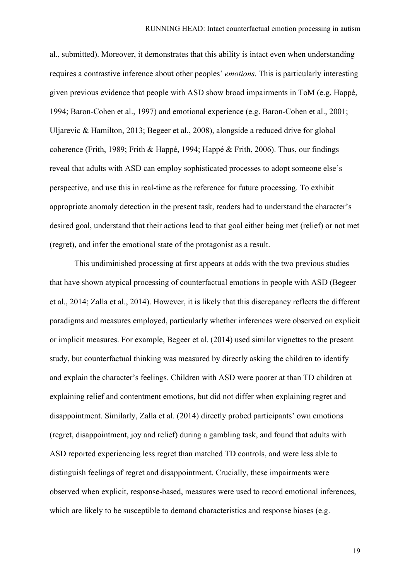al., submitted). Moreover, it demonstrates that this ability is intact even when understanding requires a contrastive inference about other peoples' *emotions*. This is particularly interesting given previous evidence that people with ASD show broad impairments in ToM (e.g. Happé, 1994; Baron-Cohen et al., 1997) and emotional experience (e.g. Baron-Cohen et al., 2001; Uljarevic & Hamilton, 2013; Begeer et al., 2008), alongside a reduced drive for global coherence (Frith, 1989; Frith & Happé, 1994; Happé & Frith, 2006). Thus, our findings reveal that adults with ASD can employ sophisticated processes to adopt someone else's perspective, and use this in real-time as the reference for future processing. To exhibit appropriate anomaly detection in the present task, readers had to understand the character's desired goal, understand that their actions lead to that goal either being met (relief) or not met (regret), and infer the emotional state of the protagonist as a result.

This undiminished processing at first appears at odds with the two previous studies that have shown atypical processing of counterfactual emotions in people with ASD (Begeer et al., 2014; Zalla et al., 2014). However, it is likely that this discrepancy reflects the different paradigms and measures employed, particularly whether inferences were observed on explicit or implicit measures. For example, Begeer et al. (2014) used similar vignettes to the present study, but counterfactual thinking was measured by directly asking the children to identify and explain the character's feelings. Children with ASD were poorer at than TD children at explaining relief and contentment emotions, but did not differ when explaining regret and disappointment. Similarly, Zalla et al. (2014) directly probed participants' own emotions (regret, disappointment, joy and relief) during a gambling task, and found that adults with ASD reported experiencing less regret than matched TD controls, and were less able to distinguish feelings of regret and disappointment. Crucially, these impairments were observed when explicit, response-based, measures were used to record emotional inferences, which are likely to be susceptible to demand characteristics and response biases (e.g.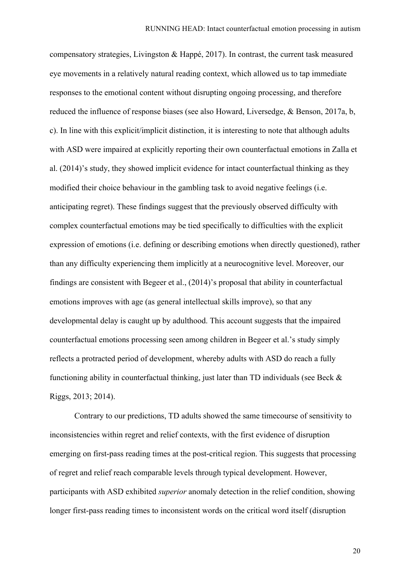compensatory strategies, Livingston & Happé, 2017). In contrast, the current task measured eye movements in a relatively natural reading context, which allowed us to tap immediate responses to the emotional content without disrupting ongoing processing, and therefore reduced the influence of response biases (see also Howard, Liversedge, & Benson, 2017a, b, c). In line with this explicit/implicit distinction, it is interesting to note that although adults with ASD were impaired at explicitly reporting their own counterfactual emotions in Zalla et al. (2014)'s study, they showed implicit evidence for intact counterfactual thinking as they modified their choice behaviour in the gambling task to avoid negative feelings (i.e. anticipating regret). These findings suggest that the previously observed difficulty with complex counterfactual emotions may be tied specifically to difficulties with the explicit expression of emotions (i.e. defining or describing emotions when directly questioned), rather than any difficulty experiencing them implicitly at a neurocognitive level. Moreover, our findings are consistent with Begeer et al., (2014)'s proposal that ability in counterfactual emotions improves with age (as general intellectual skills improve), so that any developmental delay is caught up by adulthood. This account suggests that the impaired counterfactual emotions processing seen among children in Begeer et al.'s study simply reflects a protracted period of development, whereby adults with ASD do reach a fully functioning ability in counterfactual thinking, just later than TD individuals (see Beck & Riggs, 2013; 2014).

Contrary to our predictions, TD adults showed the same timecourse of sensitivity to inconsistencies within regret and relief contexts, with the first evidence of disruption emerging on first-pass reading times at the post-critical region. This suggests that processing of regret and relief reach comparable levels through typical development. However, participants with ASD exhibited *superior* anomaly detection in the relief condition, showing longer first-pass reading times to inconsistent words on the critical word itself (disruption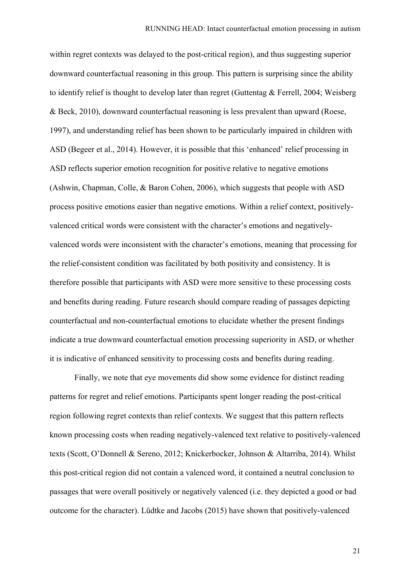within regret contexts was delayed to the post-critical region), and thus suggesting superior downward counterfactual reasoning in this group. This pattern is surprising since the ability to identify relief is thought to develop later than regret (Guttentag & Ferrell, 2004; Weisberg & Beck, 2010), downward counterfactual reasoning is less prevalent than upward (Roese, 1997), and understanding relief has been shown to be particularly impaired in children with ASD (Begeer et al., 2014). However, it is possible that this 'enhanced' relief processing in ASD reflects superior emotion recognition for positive relative to negative emotions (Ashwin, Chapman, Colle, & Baron Cohen, 2006), which suggests that people with ASD process positive emotions easier than negative emotions. Within a relief context, positivelyvalenced critical words were consistent with the character's emotions and negativelyvalenced words were inconsistent with the character's emotions, meaning that processing for the relief-consistent condition was facilitated by both positivity and consistency. It is therefore possible that participants with ASD were more sensitive to these processing costs and benefits during reading. Future research should compare reading of passages depicting counterfactual and non-counterfactual emotions to elucidate whether the present findings indicate a true downward counterfactual emotion processing superiority in ASD, or whether it is indicative of enhanced sensitivity to processing costs and benefits during reading.

Finally, we note that eye movements did show some evidence for distinct reading patterns for regret and relief emotions. Participants spent longer reading the post-critical region following regret contexts than relief contexts. We suggest that this pattern reflects known processing costs when reading negatively-valenced text relative to positively-valenced texts (Scott, O'Donnell & Sereno, 2012; Knickerbocker, Johnson & Altarriba, 2014). Whilst this post-critical region did not contain a valenced word, it contained a neutral conclusion to passages that were overall positively or negatively valenced (i.e. they depicted a good or bad outcome for the character). Lüdtke and Jacobs (2015) have shown that positively-valenced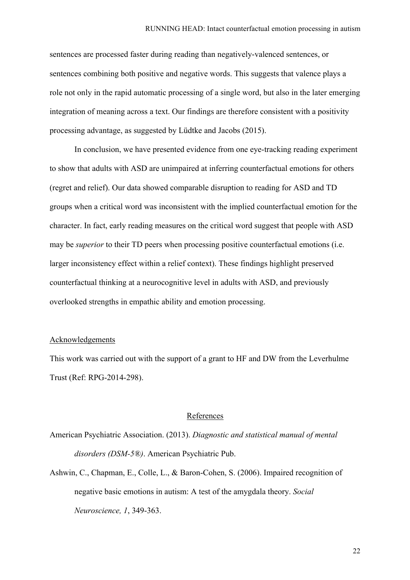sentences are processed faster during reading than negatively-valenced sentences, or sentences combining both positive and negative words. This suggests that valence plays a role not only in the rapid automatic processing of a single word, but also in the later emerging integration of meaning across a text. Our findings are therefore consistent with a positivity processing advantage, as suggested by Lüdtke and Jacobs (2015).

In conclusion, we have presented evidence from one eye-tracking reading experiment to show that adults with ASD are unimpaired at inferring counterfactual emotions for others (regret and relief). Our data showed comparable disruption to reading for ASD and TD groups when a critical word was inconsistent with the implied counterfactual emotion for the character. In fact, early reading measures on the critical word suggest that people with ASD may be *superior* to their TD peers when processing positive counterfactual emotions (i.e. larger inconsistency effect within a relief context). These findings highlight preserved counterfactual thinking at a neurocognitive level in adults with ASD, and previously overlooked strengths in empathic ability and emotion processing.

#### Acknowledgements

This work was carried out with the support of a grant to HF and DW from the Leverhulme Trust (Ref: RPG-2014-298).

#### References

- American Psychiatric Association. (2013). *Diagnostic and statistical manual of mental disorders (DSM-5®)*. American Psychiatric Pub.
- Ashwin, C., Chapman, E., Colle, L., & Baron-Cohen, S. (2006). Impaired recognition of negative basic emotions in autism: A test of the amygdala theory. *Social Neuroscience, 1*, 349-363.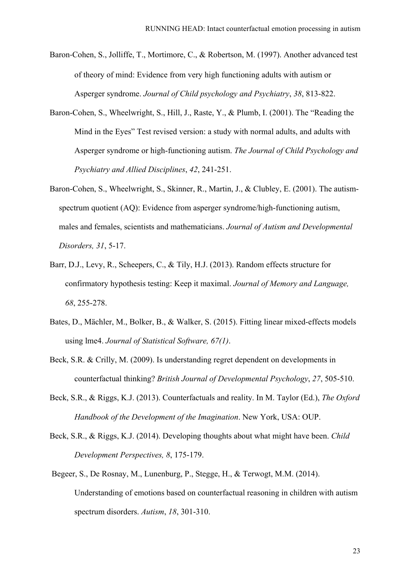- Baron-Cohen, S., Jolliffe, T., Mortimore, C., & Robertson, M. (1997). Another advanced test of theory of mind: Evidence from very high functioning adults with autism or Asperger syndrome. *Journal of Child psychology and Psychiatry*, *38*, 813-822.
- Baron-Cohen, S., Wheelwright, S., Hill, J., Raste, Y., & Plumb, I. (2001). The "Reading the Mind in the Eyes" Test revised version: a study with normal adults, and adults with Asperger syndrome or high-functioning autism. *The Journal of Child Psychology and Psychiatry and Allied Disciplines*, *42*, 241-251.
- Baron-Cohen, S., Wheelwright, S., Skinner, R., Martin, J., & Clubley, E. (2001). The autismspectrum quotient (AQ): Evidence from asperger syndrome/high-functioning autism, males and females, scientists and mathematicians. *Journal of Autism and Developmental Disorders, 31*, 5-17.
- Barr, D.J., Levy, R., Scheepers, C., & Tily, H.J. (2013). Random effects structure for confirmatory hypothesis testing: Keep it maximal. *Journal of Memory and Language, 68*, 255-278.
- Bates, D., Mächler, M., Bolker, B., & Walker, S. (2015). Fitting linear mixed-effects models using lme4. *Journal of Statistical Software, 67(1)*.
- Beck, S.R. & Crilly, M. (2009). Is understanding regret dependent on developments in counterfactual thinking? *British Journal of Developmental Psychology*, *27*, 505-510.
- Beck, S.R., & Riggs, K.J. (2013). Counterfactuals and reality. In M. Taylor (Ed.), *The Oxford Handbook of the Development of the Imagination*. New York, USA: OUP.
- Beck, S.R., & Riggs, K.J. (2014). Developing thoughts about what might have been. *Child Development Perspectives, 8*, 175-179.
- Begeer, S., De Rosnay, M., Lunenburg, P., Stegge, H., & Terwogt, M.M. (2014). Understanding of emotions based on counterfactual reasoning in children with autism spectrum disorders. *Autism*, *18*, 301-310.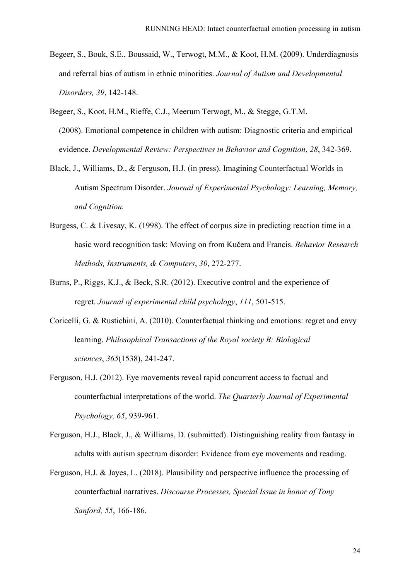- Begeer, S., Bouk, S.E., Boussaid, W., Terwogt, M.M., & Koot, H.M. (2009). Underdiagnosis and referral bias of autism in ethnic minorities. *Journal of Autism and Developmental Disorders, 39*, 142-148.
- Begeer, S., Koot, H.M., Rieffe, C.J., Meerum Terwogt, M., & Stegge, G.T.M. (2008). Emotional competence in children with autism: Diagnostic criteria and empirical evidence. *Developmental Review: Perspectives in Behavior and Cognition*, *28*, 342-369.
- Black, J., Williams, D., & Ferguson, H.J. (in press). Imagining Counterfactual Worlds in Autism Spectrum Disorder. *Journal of Experimental Psychology: Learning, Memory, and Cognition.*
- Burgess, C. & Livesay, K. (1998). The effect of corpus size in predicting reaction time in a basic word recognition task: Moving on from Kučera and Francis. *Behavior Research Methods, Instruments, & Computers*, *30*, 272-277.
- Burns, P., Riggs, K.J., & Beck, S.R. (2012). Executive control and the experience of regret. *Journal of experimental child psychology*, *111*, 501-515.
- Coricelli, G. & Rustichini, A. (2010). Counterfactual thinking and emotions: regret and envy learning. *Philosophical Transactions of the Royal society B: Biological sciences*, *365*(1538), 241-247.
- Ferguson, H.J. (2012). Eye movements reveal rapid concurrent access to factual and counterfactual interpretations of the world. *The Quarterly Journal of Experimental Psychology, 65*, 939-961.
- Ferguson, H.J., Black, J., & Williams, D. (submitted). Distinguishing reality from fantasy in adults with autism spectrum disorder: Evidence from eye movements and reading.
- Ferguson, H.J. & Jayes, L. (2018). Plausibility and perspective influence the processing of counterfactual narratives. *Discourse Processes, Special Issue in honor of Tony Sanford, 55*, 166-186.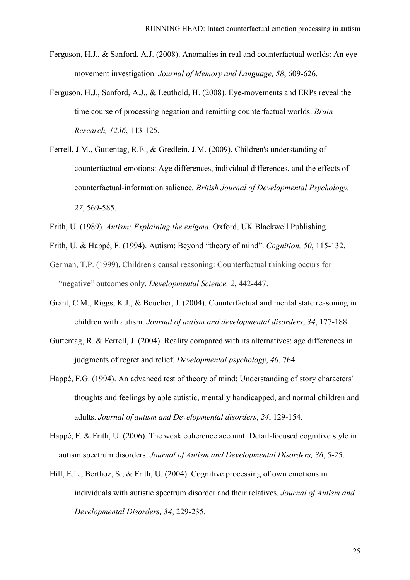- Ferguson, H.J., & Sanford, A.J. (2008). Anomalies in real and counterfactual worlds: An eyemovement investigation. *Journal of Memory and Language, 58*, 609-626.
- Ferguson, H.J., Sanford, A.J., & Leuthold, H. (2008). Eye-movements and ERPs reveal the time course of processing negation and remitting counterfactual worlds. *Brain Research, 1236*, 113-125.
- Ferrell, J.M., Guttentag, R.E., & Gredlein, J.M. (2009). Children's understanding of counterfactual emotions: Age differences, individual differences, and the effects of counterfactual-information salience*. British Journal of Developmental Psychology, 27*, 569-585.
- Frith, U. (1989). *Autism: Explaining the enigma*. Oxford, UK Blackwell Publishing.
- Frith, U. & Happé, F. (1994). Autism: Beyond "theory of mind". *Cognition, 50*, 115-132.
- German, T.P. (1999). Children's causal reasoning: Counterfactual thinking occurs for "negative" outcomes only. *Developmental Science, 2*, 442-447.
- Grant, C.M., Riggs, K.J., & Boucher, J. (2004). Counterfactual and mental state reasoning in children with autism. *Journal of autism and developmental disorders*, *34*, 177-188.
- Guttentag, R. & Ferrell, J. (2004). Reality compared with its alternatives: age differences in judgments of regret and relief. *Developmental psychology*, *40*, 764.
- Happé, F.G. (1994). An advanced test of theory of mind: Understanding of story characters' thoughts and feelings by able autistic, mentally handicapped, and normal children and adults. *Journal of autism and Developmental disorders*, *24*, 129-154.
- Happé, F. & Frith, U. (2006). The weak coherence account: Detail-focused cognitive style in autism spectrum disorders. *Journal of Autism and Developmental Disorders, 36*, 5-25.
- Hill, E.L., Berthoz, S., & Frith, U. (2004). Cognitive processing of own emotions in individuals with autistic spectrum disorder and their relatives. *Journal of Autism and Developmental Disorders, 34*, 229-235.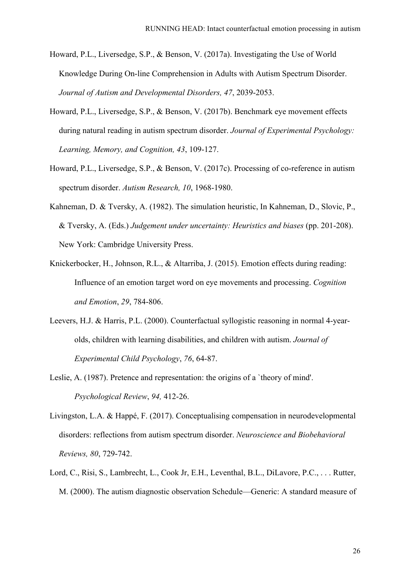- Howard, P.L., Liversedge, S.P., & Benson, V. (2017a). Investigating the Use of World Knowledge During On-line Comprehension in Adults with Autism Spectrum Disorder. *Journal of Autism and Developmental Disorders, 47*, 2039-2053.
- Howard, P.L., Liversedge, S.P., & Benson, V. (2017b). Benchmark eye movement effects during natural reading in autism spectrum disorder. *Journal of Experimental Psychology: Learning, Memory, and Cognition, 43*, 109-127.
- Howard, P.L., Liversedge, S.P., & Benson, V. (2017c). Processing of co-reference in autism spectrum disorder. *Autism Research, 10*, 1968-1980.
- Kahneman, D. & Tversky, A. (1982). The simulation heuristic, In Kahneman, D., Slovic, P., & Tversky, A. (Eds.) *Judgement under uncertainty: Heuristics and biases* (pp. 201-208). New York: Cambridge University Press.
- Knickerbocker, H., Johnson, R.L., & Altarriba, J. (2015). Emotion effects during reading: Influence of an emotion target word on eye movements and processing. *Cognition and Emotion*, *29*, 784-806.
- Leevers, H.J. & Harris, P.L. (2000). Counterfactual syllogistic reasoning in normal 4-yearolds, children with learning disabilities, and children with autism. *Journal of Experimental Child Psychology*, *76*, 64-87.
- Leslie, A. (1987). Pretence and representation: the origins of a `theory of mind'. *Psychological Review*, *94,* 412-26.
- Livingston, L.A. & Happé, F. (2017). Conceptualising compensation in neurodevelopmental disorders: reflections from autism spectrum disorder. *Neuroscience and Biobehavioral Reviews, 80*, 729-742.
- Lord, C., Risi, S., Lambrecht, L., Cook Jr, E.H., Leventhal, B.L., DiLavore, P.C., . . . Rutter, M. (2000). The autism diagnostic observation Schedule—Generic: A standard measure of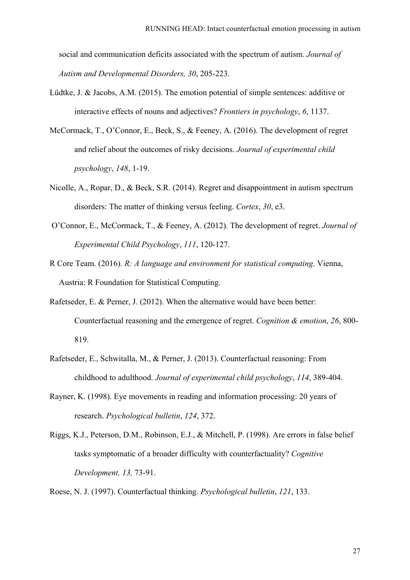social and communication deficits associated with the spectrum of autism. *Journal of Autism and Developmental Disorders, 30*, 205-223.

- Lüdtke, J. & Jacobs, A.M. (2015). The emotion potential of simple sentences: additive or interactive effects of nouns and adjectives? *Frontiers in psychology*, *6*, 1137.
- McCormack, T., O'Connor, E., Beck, S., & Feeney, A. (2016). The development of regret and relief about the outcomes of risky decisions. *Journal of experimental child psychology*, *148*, 1-19.
- Nicolle, A., Ropar, D., & Beck, S.R. (2014). Regret and disappointment in autism spectrum disorders: The matter of thinking versus feeling. *Cortex*, *30*, e3.
- O'Connor, E., McCormack, T., & Feeney, A. (2012). The development of regret. *Journal of Experimental Child Psychology*, *111*, 120-127.
- R Core Team. (2016). *R: A language and environment for statistical computing*. Vienna, Austria: R Foundation for Statistical Computing.
- Rafetseder, E. & Perner, J. (2012). When the alternative would have been better: Counterfactual reasoning and the emergence of regret. *Cognition & emotion*, *26*, 800- 819.
- Rafetseder, E., Schwitalla, M., & Perner, J. (2013). Counterfactual reasoning: From childhood to adulthood. *Journal of experimental child psychology*, *114*, 389-404.
- Rayner, K. (1998). Eye movements in reading and information processing: 20 years of research. *Psychological bulletin*, *124*, 372.
- Riggs, K.J., Peterson, D.M., Robinson, E.J., & Mitchell, P. (1998). Are errors in false belief tasks symptomatic of a broader difficulty with counterfactuality? *Cognitive Development, 13,* 73-91.

Roese, N. J. (1997). Counterfactual thinking. *Psychological bulletin*, *121*, 133.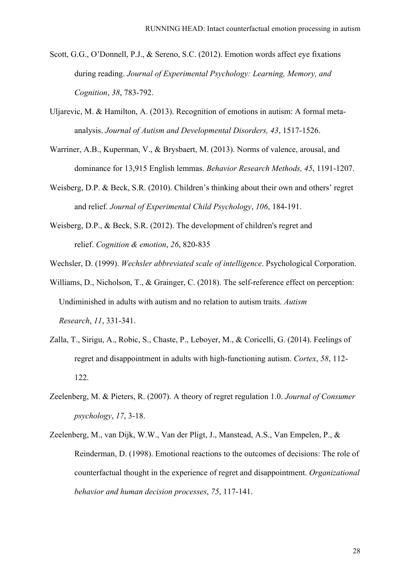- Scott, G.G., O'Donnell, P.J., & Sereno, S.C. (2012). Emotion words affect eye fixations during reading. *Journal of Experimental Psychology: Learning, Memory, and Cognition*, *38*, 783-792.
- Uljarevic, M. & Hamilton, A. (2013). Recognition of emotions in autism: A formal metaanalysis. *Journal of Autism and Developmental Disorders, 43*, 1517-1526.
- Warriner, A.B., Kuperman, V., & Brysbaert, M. (2013). Norms of valence, arousal, and dominance for 13,915 English lemmas. *Behavior Research Methods, 45*, 1191-1207.
- Weisberg, D.P. & Beck, S.R. (2010). Children's thinking about their own and others' regret and relief. *Journal of Experimental Child Psychology*, *106*, 184-191.
- Weisberg, D.P., & Beck, S.R. (2012). The development of children's regret and relief. *Cognition & emotion*, *26*, 820-835
- Wechsler, D. (1999). *Wechsler abbreviated scale of intelligence*. Psychological Corporation.
- Williams, D., Nicholson, T., & Grainger, C. (2018). The self-reference effect on perception: Undiminished in adults with autism and no relation to autism traits. *Autism Research*, *11*, 331-341.
- Zalla, T., Sirigu, A., Robic, S., Chaste, P., Leboyer, M., & Coricelli, G. (2014). Feelings of regret and disappointment in adults with high-functioning autism. *Cortex*, *58*, 112- 122.
- Zeelenberg, M. & Pieters, R. (2007). A theory of regret regulation 1.0. *Journal of Consumer psychology*, *17*, 3-18.
- Zeelenberg, M., van Dijk, W.W., Van der Pligt, J., Manstead, A.S., Van Empelen, P., & Reinderman, D. (1998). Emotional reactions to the outcomes of decisions: The role of counterfactual thought in the experience of regret and disappointment. *Organizational behavior and human decision processes*, *75*, 117-141.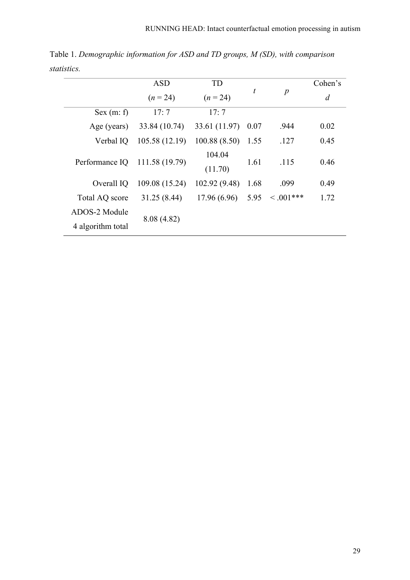|                                    | <b>ASD</b>     | <b>TD</b>         |      |                  | Cohen's        |  |
|------------------------------------|----------------|-------------------|------|------------------|----------------|--|
|                                    | $(n = 24)$     | $(n = 24)$        | t    | $\boldsymbol{p}$ | $\overline{d}$ |  |
| Sex (m: f)                         | 17:7           | 17:7              |      |                  |                |  |
| Age (years)                        | 33.84 (10.74)  | 33.61 (11.97)     | 0.07 | .944             | 0.02           |  |
| Verbal IQ                          | 105.58 (12.19) | 100.88(8.50)      | 1.55 | .127             | 0.45           |  |
| Performance IQ                     | 111.58 (19.79) | 104.04<br>(11.70) | 1.61 | .115             | 0.46           |  |
| Overall IQ                         | 109.08 (15.24) | 102.92 (9.48)     | 1.68 | .099             | 0.49           |  |
| Total AQ score                     | 31.25 (8.44)   | 17.96(6.96)       | 5.95 | $\leq 0.01$ ***  | 1.72           |  |
| ADOS-2 Module<br>4 algorithm total | 8.08(4.82)     |                   |      |                  |                |  |

Table 1. *Demographic information for ASD and TD groups, M (SD), with comparison statistics.*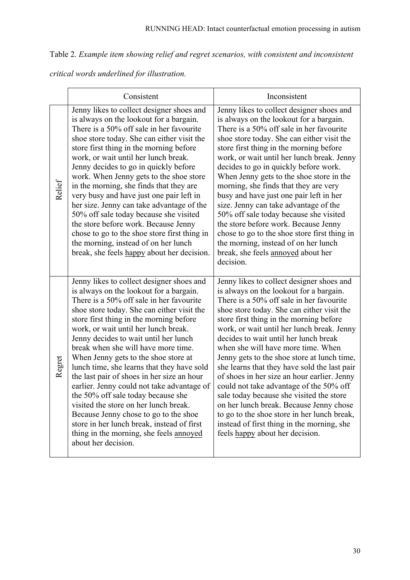Table 2. *Example item showing relief and regret scenarios, with consistent and inconsistent* 

|  |  |  |  | critical words underlined for illustration. |
|--|--|--|--|---------------------------------------------|
|--|--|--|--|---------------------------------------------|

|        | Consistent                                                                                                                                                                                                                                                                                                                                                                                                                                                                                                                                                                                                                                                                                                                                                                  | Inconsistent                                                                                                                                                                                                                                                                                                                                                                                                                                                                                                                                                                                                                                                                                                                                                           |
|--------|-----------------------------------------------------------------------------------------------------------------------------------------------------------------------------------------------------------------------------------------------------------------------------------------------------------------------------------------------------------------------------------------------------------------------------------------------------------------------------------------------------------------------------------------------------------------------------------------------------------------------------------------------------------------------------------------------------------------------------------------------------------------------------|------------------------------------------------------------------------------------------------------------------------------------------------------------------------------------------------------------------------------------------------------------------------------------------------------------------------------------------------------------------------------------------------------------------------------------------------------------------------------------------------------------------------------------------------------------------------------------------------------------------------------------------------------------------------------------------------------------------------------------------------------------------------|
| Relief | Jenny likes to collect designer shoes and<br>is always on the lookout for a bargain.<br>There is a 50% off sale in her favourite<br>shoe store today. She can either visit the<br>store first thing in the morning before<br>work, or wait until her lunch break.<br>Jenny decides to go in quickly before<br>work. When Jenny gets to the shoe store<br>in the morning, she finds that they are<br>very busy and have just one pair left in<br>her size. Jenny can take advantage of the<br>50% off sale today because she visited<br>the store before work. Because Jenny<br>chose to go to the shoe store first thing in<br>the morning, instead of on her lunch<br>break, she feels happy about her decision.                                                           | Jenny likes to collect designer shoes and<br>is always on the lookout for a bargain.<br>There is a 50% off sale in her favourite<br>shoe store today. She can either visit the<br>store first thing in the morning before<br>work, or wait until her lunch break. Jenny<br>decides to go in quickly before work.<br>When Jenny gets to the shoe store in the<br>morning, she finds that they are very<br>busy and have just one pair left in her<br>size. Jenny can take advantage of the<br>50% off sale today because she visited<br>the store before work. Because Jenny<br>chose to go to the shoe store first thing in<br>the morning, instead of on her lunch<br>break, she feels annoyed about her<br>decision.                                                 |
| Regret | Jenny likes to collect designer shoes and<br>is always on the lookout for a bargain.<br>There is a 50% off sale in her favourite<br>shoe store today. She can either visit the<br>store first thing in the morning before<br>work, or wait until her lunch break.<br>Jenny decides to wait until her lunch<br>break when she will have more time.<br>When Jenny gets to the shoe store at<br>lunch time, she learns that they have sold<br>the last pair of shoes in her size an hour<br>earlier. Jenny could not take advantage of<br>the 50% off sale today because she<br>visited the store on her lunch break.<br>Because Jenny chose to go to the shoe<br>store in her lunch break, instead of first<br>thing in the morning, she feels annoyed<br>about her decision. | Jenny likes to collect designer shoes and<br>is always on the lookout for a bargain.<br>There is a 50% off sale in her favourite<br>shoe store today. She can either visit the<br>store first thing in the morning before<br>work, or wait until her lunch break. Jenny<br>decides to wait until her lunch break<br>when she will have more time. When<br>Jenny gets to the shoe store at lunch time,<br>she learns that they have sold the last pair<br>of shoes in her size an hour earlier. Jenny<br>could not take advantage of the 50% off<br>sale today because she visited the store<br>on her lunch break. Because Jenny chose<br>to go to the shoe store in her lunch break,<br>instead of first thing in the morning, she<br>feels happy about her decision. |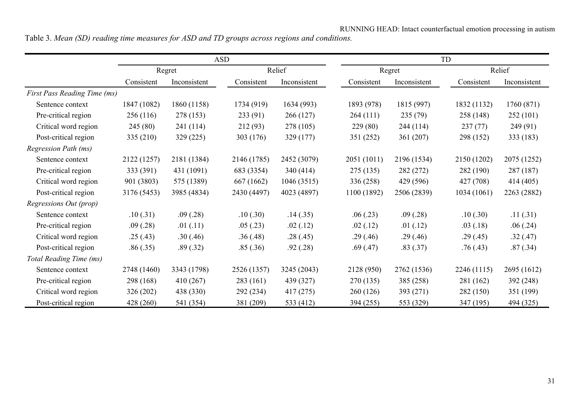| Table 3. Mean (SD) reading time measures for ASD and TD groups across regions and conditions. |  |
|-----------------------------------------------------------------------------------------------|--|
|-----------------------------------------------------------------------------------------------|--|

|                              |                            |             | <b>ASD</b>  |              | TD          |              |             |              |  |  |
|------------------------------|----------------------------|-------------|-------------|--------------|-------------|--------------|-------------|--------------|--|--|
|                              | Regret                     |             | Relief      |              | Regret      |              | Relief      |              |  |  |
|                              | Consistent<br>Inconsistent |             | Consistent  | Inconsistent | Consistent  | Inconsistent | Consistent  | Inconsistent |  |  |
| First Pass Reading Time (ms) |                            |             |             |              |             |              |             |              |  |  |
| Sentence context             | 1847 (1082)                | 1860 (1158) | 1734 (919)  | 1634 (993)   | 1893 (978)  | 1815 (997)   | 1832 (1132) | 1760 (871)   |  |  |
| Pre-critical region          | 256(116)                   | 278 (153)   | 233 (91)    | 266 (127)    | 264(111)    | 235(79)      | 258 (148)   | 252(101)     |  |  |
| Critical word region         | 245(80)                    | 241 (114)   | 212 (93)    | 278 (105)    | 229(80)     | 244(114)     | 237(77)     | 249 (91)     |  |  |
| Post-critical region         | 335 (210)                  | 329 (225)   | 303 (176)   | 329 (177)    | 351 (252)   | 361 (207)    | 298 (152)   | 333 (183)    |  |  |
| Regression Path (ms)         |                            |             |             |              |             |              |             |              |  |  |
| Sentence context             | 2122 (1257)                | 2181 (1384) | 2146 (1785) | 2452 (3079)  | 2051 (1011) | 2196 (1534)  | 2150 (1202) | 2075 (1252)  |  |  |
| Pre-critical region          | 333 (391)                  | 431 (1091)  | 683 (3354)  | 340 (414)    | 275(135)    | 282 (272)    | 282 (190)   | 287 (187)    |  |  |
| Critical word region         | 901 (3803)                 | 575 (1389)  | 667 (1662)  | 1046 (3515)  | 336 (258)   | 429 (596)    | 427 (708)   | 414 (405)    |  |  |
| Post-critical region         | 3176 (5453)                | 3985 (4834) | 2430 (4497) | 4023 (4897)  | 1100 (1892) | 2506 (2839)  | 1034 (1061) | 2263 (2882)  |  |  |
| Regressions Out (prop)       |                            |             |             |              |             |              |             |              |  |  |
| Sentence context             | .10(.31)                   | .09(.28)    | .10(.30)    | .14(.35)     | .06(.23)    | .09(.28)     | .10(.30)    | .11(.31)     |  |  |
| Pre-critical region          | .09(.28)                   | .01(.11)    | .05(.23)    | .02(.12)     | .02(.12)    | .01(.12)     | .03(.18)    | .06(.24)     |  |  |
| Critical word region         | .25(.43)                   | .30(.46)    | .36(.48)    | .28(.45)     | .29(.46)    | .29(.46)     | .29(.45)    | .32(.47)     |  |  |
| Post-critical region         | .86(.35)                   | .89(.32)    | .85(.36)    | .92(.28)     | .69(.47)    | .83(.37)     | .76(.43)    | .87(.34)     |  |  |
| Total Reading Time (ms)      |                            |             |             |              |             |              |             |              |  |  |
| Sentence context             | 2748 (1460)                | 3343 (1798) | 2526 (1357) | 3245 (2043)  | 2128 (950)  | 2762 (1536)  | 2246 (1115) | 2695 (1612)  |  |  |
| Pre-critical region          | 298 (168)                  | 410(267)    | 283 (161)   | 439 (327)    | 270 (135)   | 385 (258)    | 281 (162)   | 392 (248)    |  |  |
| Critical word region         | 326 (202)                  | 438 (330)   | 292 (234)   | 417 (275)    | 260(126)    | 393 (271)    | 282 (150)   | 351 (199)    |  |  |
| Post-critical region         | 428 (260)                  | 541 (354)   | 381 (209)   | 533 (412)    | 394 (255)   | 553 (329)    | 347 (195)   | 494 (325)    |  |  |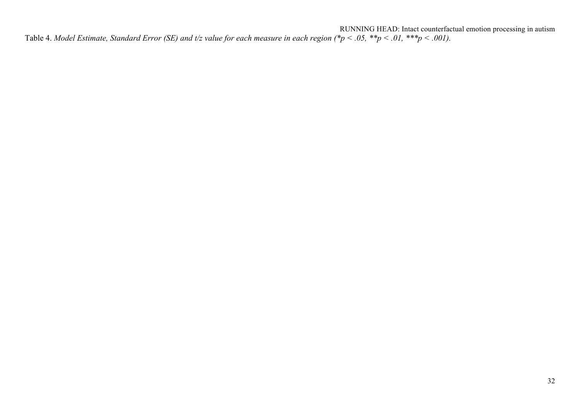RUNNING HEAD: Intact counterfactual emotion processing in autism Table 4. *Model Estimate, Standard Error (SE) and t/z value for each measure in each region (\*p < .05, \*\*p < .01, \*\*\*p < .001).*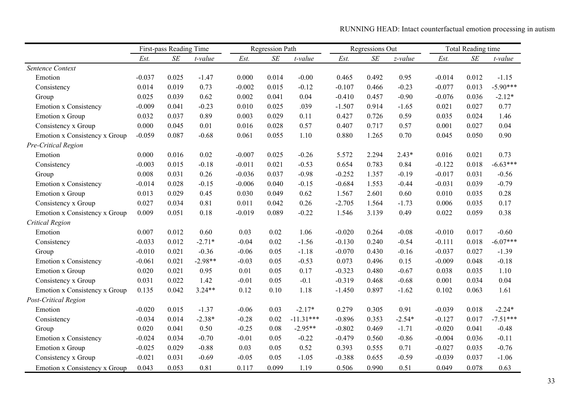|                                      | First-pass Reading Time |           |           | <b>Regression Path</b> |           | Regressions Out |          |        | Total Reading time |          |           |            |
|--------------------------------------|-------------------------|-----------|-----------|------------------------|-----------|-----------------|----------|--------|--------------------|----------|-----------|------------|
|                                      | Est.                    | $\cal SE$ | t-value   | Est.                   | $\cal SE$ | $t$ -value      | Est.     | $S\!E$ | z-value            | Est.     | $\cal SE$ | $t$ -value |
| Sentence Context                     |                         |           |           |                        |           |                 |          |        |                    |          |           |            |
| Emotion                              | $-0.037$                | 0.025     | $-1.47$   | 0.000                  | 0.014     | $-0.00$         | 0.465    | 0.492  | 0.95               | $-0.014$ | 0.012     | $-1.15$    |
| Consistency                          | 0.014                   | 0.019     | 0.73      | $-0.002$               | 0.015     | $-0.12$         | $-0.107$ | 0.466  | $-0.23$            | $-0.077$ | 0.013     | $-5.90***$ |
| Group                                | 0.025                   | 0.039     | 0.62      | 0.002                  | 0.041     | 0.04            | $-0.410$ | 0.457  | $-0.90$            | $-0.076$ | 0.036     | $-2.12*$   |
| <b>Emotion x Consistency</b>         | $-0.009$                | 0.041     | $-0.23$   | 0.010                  | 0.025     | .039            | $-1.507$ | 0.914  | $-1.65$            | 0.021    | 0.027     | 0.77       |
| <b>Emotion x Group</b>               | 0.032                   | 0.037     | 0.89      | 0.003                  | 0.029     | 0.11            | 0.427    | 0.726  | 0.59               | 0.035    | 0.024     | 1.46       |
| Consistency x Group                  | 0.000                   | 0.045     | 0.01      | 0.016                  | 0.028     | 0.57            | 0.407    | 0.717  | 0.57               | 0.001    | 0.027     | 0.04       |
| Emotion x Consistency x Group        | $-0.059$                | 0.087     | $-0.68$   | 0.061                  | 0.055     | 1.10            | 0.880    | 1.265  | 0.70               | 0.045    | 0.050     | 0.90       |
| Pre-Critical Region                  |                         |           |           |                        |           |                 |          |        |                    |          |           |            |
| Emotion                              | 0.000                   | 0.016     | 0.02      | $-0.007$               | 0.025     | $-0.26$         | 5.572    | 2.294  | $2.43*$            | 0.016    | 0.021     | 0.73       |
| Consistency                          | $-0.003$                | 0.015     | $-0.18$   | $-0.011$               | 0.021     | $-0.53$         | 0.654    | 0.783  | 0.84               | $-0.122$ | 0.018     | $-6.63***$ |
| Group                                | 0.008                   | 0.031     | 0.26      | $-0.036$               | 0.037     | $-0.98$         | $-0.252$ | 1.357  | $-0.19$            | $-0.017$ | 0.031     | $-0.56$    |
| <b>Emotion x Consistency</b>         | $-0.014$                | 0.028     | $-0.15$   | $-0.006$               | 0.040     | $-0.15$         | $-0.684$ | 1.553  | $-0.44$            | $-0.031$ | 0.039     | $-0.79$    |
| Emotion x Group                      | 0.013                   | 0.029     | 0.45      | 0.030                  | 0.049     | 0.62            | 1.567    | 2.601  | 0.60               | 0.010    | 0.035     | 0.28       |
| Consistency x Group                  | 0.027                   | 0.034     | 0.81      | 0.011                  | 0.042     | 0.26            | $-2.705$ | 1.564  | $-1.73$            | 0.006    | 0.035     | 0.17       |
| Emotion x Consistency x Group        | 0.009                   | 0.051     | 0.18      | $-0.019$               | 0.089     | $-0.22$         | 1.546    | 3.139  | 0.49               | 0.022    | 0.059     | 0.38       |
| <b>Critical Region</b>               |                         |           |           |                        |           |                 |          |        |                    |          |           |            |
| Emotion                              | 0.007                   | 0.012     | 0.60      | 0.03                   | 0.02      | 1.06            | $-0.020$ | 0.264  | $-0.08$            | $-0.010$ | 0.017     | $-0.60$    |
| Consistency                          | $-0.033$                | 0.012     | $-2.71*$  | $-0.04$                | 0.02      | $-1.56$         | $-0.130$ | 0.240  | $-0.54$            | $-0.111$ | 0.018     | $-6.07***$ |
| Group                                | $-0.010$                | 0.021     | $-0.36$   | $-0.06$                | 0.05      | $-1.18$         | $-0.070$ | 0.430  | $-0.16$            | $-0.037$ | 0.027     | $-1.39$    |
| <b>Emotion x Consistency</b>         | $-0.061$                | 0.021     | $-2.98**$ | $-0.03$                | 0.05      | $-0.53$         | 0.073    | 0.496  | 0.15               | $-0.009$ | 0.048     | $-0.18$    |
| Emotion x Group                      | 0.020                   | 0.021     | 0.95      | 0.01                   | 0.05      | 0.17            | $-0.323$ | 0.480  | $-0.67$            | 0.038    | 0.035     | 1.10       |
| Consistency x Group                  | 0.031                   | 0.022     | 1.42      | $-0.01$                | 0.05      | $-0.1$          | $-0.319$ | 0.468  | $-0.68$            | 0.001    | 0.034     | 0.04       |
| Emotion x Consistency x Group        | 0.135                   | 0.042     | $3.24**$  | 0.12                   | 0.10      | 1.18            | $-1.450$ | 0.897  | $-1.62$            | 0.102    | 0.063     | 1.61       |
| Post-Critical Region                 |                         |           |           |                        |           |                 |          |        |                    |          |           |            |
| Emotion                              | $-0.020$                | 0.015     | $-1.37$   | $-0.06$                | 0.03      | $-2.17*$        | 0.279    | 0.305  | 0.91               | $-0.039$ | 0.018     | $-2.24*$   |
| Consistency                          | $-0.034$                | 0.014     | $-2.38*$  | $-0.28$                | 0.02      | $-11.31***$     | $-0.896$ | 0.353  | $-2.54*$           | $-0.127$ | 0.017     | $-7.51***$ |
| Group                                | 0.020                   | 0.041     | 0.50      | $-0.25$                | 0.08      | $-2.95**$       | $-0.802$ | 0.469  | $-1.71$            | $-0.020$ | 0.041     | $-0.48$    |
| <b>Emotion x Consistency</b>         | $-0.024$                | 0.034     | $-0.70$   | $-0.01$                | 0.05      | $-0.22$         | $-0.479$ | 0.560  | $-0.86$            | $-0.004$ | 0.036     | $-0.11$    |
| Emotion x Group                      | $-0.025$                | 0.029     | $-0.88$   | 0.03                   | 0.05      | 0.52            | 0.393    | 0.555  | 0.71               | $-0.027$ | 0.035     | $-0.76$    |
| Consistency x Group                  | $-0.021$                | 0.031     | $-0.69$   | $-0.05$                | 0.05      | $-1.05$         | $-0.388$ | 0.655  | $-0.59$            | $-0.039$ | 0.037     | $-1.06$    |
| <b>Emotion x Consistency x Group</b> | 0.043                   | 0.053     | 0.81      | 0.117                  | 0.099     | 1.19            | 0.506    | 0.990  | 0.51               | 0.049    | 0.078     | 0.63       |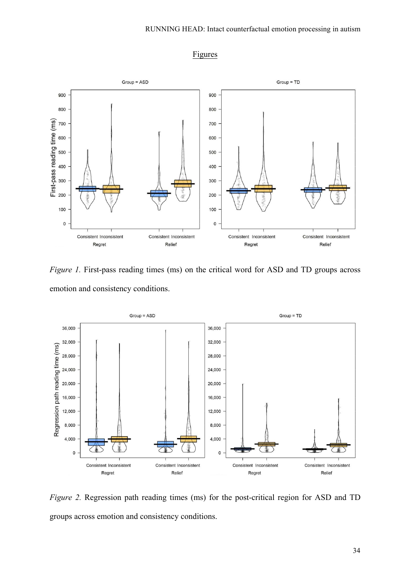# Figures



*Figure 1.* First-pass reading times (ms) on the critical word for ASD and TD groups across emotion and consistency conditions.



*Figure 2.* Regression path reading times (ms) for the post-critical region for ASD and TD groups across emotion and consistency conditions.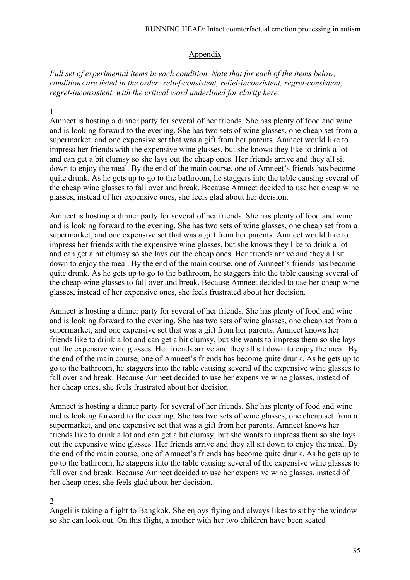# Appendix

*Full set of experimental items in each condition. Note that for each of the items below, conditions are listed in the order: relief-consistent, relief-inconsistent, regret-consistent, regret-inconsistent, with the critical word underlined for clarity here.* 

1

Amneet is hosting a dinner party for several of her friends. She has plenty of food and wine and is looking forward to the evening. She has two sets of wine glasses, one cheap set from a supermarket, and one expensive set that was a gift from her parents. Amneet would like to impress her friends with the expensive wine glasses, but she knows they like to drink a lot and can get a bit clumsy so she lays out the cheap ones. Her friends arrive and they all sit down to enjoy the meal. By the end of the main course, one of Amneet's friends has become quite drunk. As he gets up to go to the bathroom, he staggers into the table causing several of the cheap wine glasses to fall over and break. Because Amneet decided to use her cheap wine glasses, instead of her expensive ones, she feels glad about her decision.

Amneet is hosting a dinner party for several of her friends. She has plenty of food and wine and is looking forward to the evening. She has two sets of wine glasses, one cheap set from a supermarket, and one expensive set that was a gift from her parents. Amneet would like to impress her friends with the expensive wine glasses, but she knows they like to drink a lot and can get a bit clumsy so she lays out the cheap ones. Her friends arrive and they all sit down to enjoy the meal. By the end of the main course, one of Amneet's friends has become quite drunk. As he gets up to go to the bathroom, he staggers into the table causing several of the cheap wine glasses to fall over and break. Because Amneet decided to use her cheap wine glasses, instead of her expensive ones, she feels frustrated about her decision.

Amneet is hosting a dinner party for several of her friends. She has plenty of food and wine and is looking forward to the evening. She has two sets of wine glasses, one cheap set from a supermarket, and one expensive set that was a gift from her parents. Amneet knows her friends like to drink a lot and can get a bit clumsy, but she wants to impress them so she lays out the expensive wine glasses. Her friends arrive and they all sit down to enjoy the meal. By the end of the main course, one of Amneet's friends has become quite drunk. As he gets up to go to the bathroom, he staggers into the table causing several of the expensive wine glasses to fall over and break. Because Amneet decided to use her expensive wine glasses, instead of her cheap ones, she feels frustrated about her decision.

Amneet is hosting a dinner party for several of her friends. She has plenty of food and wine and is looking forward to the evening. She has two sets of wine glasses, one cheap set from a supermarket, and one expensive set that was a gift from her parents. Amneet knows her friends like to drink a lot and can get a bit clumsy, but she wants to impress them so she lays out the expensive wine glasses. Her friends arrive and they all sit down to enjoy the meal. By the end of the main course, one of Amneet's friends has become quite drunk. As he gets up to go to the bathroom, he staggers into the table causing several of the expensive wine glasses to fall over and break. Because Amneet decided to use her expensive wine glasses, instead of her cheap ones, she feels glad about her decision.

# 2

Angeli is taking a flight to Bangkok. She enjoys flying and always likes to sit by the window so she can look out. On this flight, a mother with her two children have been seated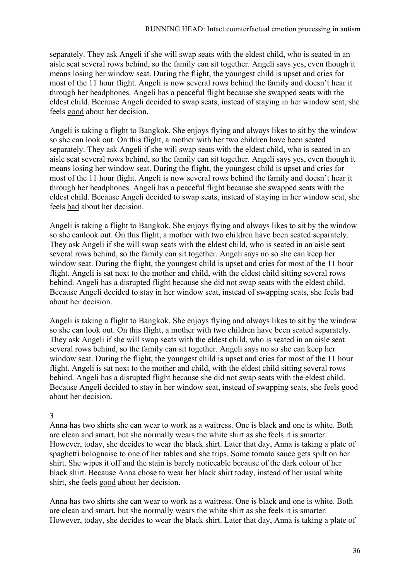separately. They ask Angeli if she will swap seats with the eldest child, who is seated in an aisle seat several rows behind, so the family can sit together. Angeli says yes, even though it means losing her window seat. During the flight, the youngest child is upset and cries for most of the 11 hour flight. Angeli is now several rows behind the family and doesn't hear it through her headphones. Angeli has a peaceful flight because she swapped seats with the eldest child. Because Angeli decided to swap seats, instead of staying in her window seat, she feels good about her decision.

Angeli is taking a flight to Bangkok. She enjoys flying and always likes to sit by the window so she can look out. On this flight, a mother with her two children have been seated separately. They ask Angeli if she will swap seats with the eldest child, who is seated in an aisle seat several rows behind, so the family can sit together. Angeli says yes, even though it means losing her window seat. During the flight, the youngest child is upset and cries for most of the 11 hour flight. Angeli is now several rows behind the family and doesn't hear it through her headphones. Angeli has a peaceful flight because she swapped seats with the eldest child. Because Angeli decided to swap seats, instead of staying in her window seat, she feels bad about her decision.

Angeli is taking a flight to Bangkok. She enjoys flying and always likes to sit by the window so she canlook out. On this flight, a mother with two children have been seated separately. They ask Angeli if she will swap seats with the eldest child, who is seated in an aisle seat several rows behind, so the family can sit together. Angeli says no so she can keep her window seat. During the flight, the youngest child is upset and cries for most of the 11 hour flight. Angeli is sat next to the mother and child, with the eldest child sitting several rows behind. Angeli has a disrupted flight because she did not swap seats with the eldest child. Because Angeli decided to stay in her window seat, instead of swapping seats, she feels bad about her decision.

Angeli is taking a flight to Bangkok. She enjoys flying and always likes to sit by the window so she can look out. On this flight, a mother with two children have been seated separately. They ask Angeli if she will swap seats with the eldest child, who is seated in an aisle seat several rows behind, so the family can sit together. Angeli says no so she can keep her window seat. During the flight, the youngest child is upset and cries for most of the 11 hour flight. Angeli is sat next to the mother and child, with the eldest child sitting several rows behind. Angeli has a disrupted flight because she did not swap seats with the eldest child. Because Angeli decided to stay in her window seat, instead of swapping seats, she feels good about her decision.

# 3

Anna has two shirts she can wear to work as a waitress. One is black and one is white. Both are clean and smart, but she normally wears the white shirt as she feels it is smarter. However, today, she decides to wear the black shirt. Later that day, Anna is taking a plate of spaghetti bolognaise to one of her tables and she trips. Some tomato sauce gets spilt on her shirt. She wipes it off and the stain is barely noticeable because of the dark colour of her black shirt. Because Anna chose to wear her black shirt today, instead of her usual white shirt, she feels good about her decision.

Anna has two shirts she can wear to work as a waitress. One is black and one is white. Both are clean and smart, but she normally wears the white shirt as she feels it is smarter. However, today, she decides to wear the black shirt. Later that day, Anna is taking a plate of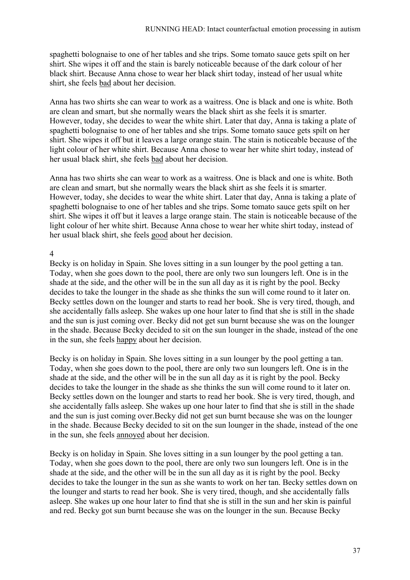spaghetti bolognaise to one of her tables and she trips. Some tomato sauce gets spilt on her shirt. She wipes it off and the stain is barely noticeable because of the dark colour of her black shirt. Because Anna chose to wear her black shirt today, instead of her usual white shirt, she feels bad about her decision.

Anna has two shirts she can wear to work as a waitress. One is black and one is white. Both are clean and smart, but she normally wears the black shirt as she feels it is smarter. However, today, she decides to wear the white shirt. Later that day, Anna is taking a plate of spaghetti bolognaise to one of her tables and she trips. Some tomato sauce gets spilt on her shirt. She wipes it off but it leaves a large orange stain. The stain is noticeable because of the light colour of her white shirt. Because Anna chose to wear her white shirt today, instead of her usual black shirt, she feels bad about her decision.

Anna has two shirts she can wear to work as a waitress. One is black and one is white. Both are clean and smart, but she normally wears the black shirt as she feels it is smarter. However, today, she decides to wear the white shirt. Later that day, Anna is taking a plate of spaghetti bolognaise to one of her tables and she trips. Some tomato sauce gets spilt on her shirt. She wipes it off but it leaves a large orange stain. The stain is noticeable because of the light colour of her white shirt. Because Anna chose to wear her white shirt today, instead of her usual black shirt, she feels good about her decision.

# 4

Becky is on holiday in Spain. She loves sitting in a sun lounger by the pool getting a tan. Today, when she goes down to the pool, there are only two sun loungers left. One is in the shade at the side, and the other will be in the sun all day as it is right by the pool. Becky decides to take the lounger in the shade as she thinks the sun will come round to it later on. Becky settles down on the lounger and starts to read her book. She is very tired, though, and she accidentally falls asleep. She wakes up one hour later to find that she is still in the shade and the sun is just coming over. Becky did not get sun burnt because she was on the lounger in the shade. Because Becky decided to sit on the sun lounger in the shade, instead of the one in the sun, she feels happy about her decision.

Becky is on holiday in Spain. She loves sitting in a sun lounger by the pool getting a tan. Today, when she goes down to the pool, there are only two sun loungers left. One is in the shade at the side, and the other will be in the sun all day as it is right by the pool. Becky decides to take the lounger in the shade as she thinks the sun will come round to it later on. Becky settles down on the lounger and starts to read her book. She is very tired, though, and she accidentally falls asleep. She wakes up one hour later to find that she is still in the shade and the sun is just coming over.Becky did not get sun burnt because she was on the lounger in the shade. Because Becky decided to sit on the sun lounger in the shade, instead of the one in the sun, she feels annoyed about her decision.

Becky is on holiday in Spain. She loves sitting in a sun lounger by the pool getting a tan. Today, when she goes down to the pool, there are only two sun loungers left. One is in the shade at the side, and the other will be in the sun all day as it is right by the pool. Becky decides to take the lounger in the sun as she wants to work on her tan. Becky settles down on the lounger and starts to read her book. She is very tired, though, and she accidentally falls asleep. She wakes up one hour later to find that she is still in the sun and her skin is painful and red. Becky got sun burnt because she was on the lounger in the sun. Because Becky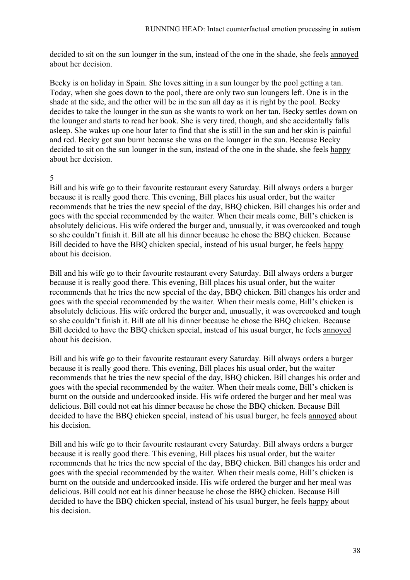decided to sit on the sun lounger in the sun, instead of the one in the shade, she feels annoyed about her decision.

Becky is on holiday in Spain. She loves sitting in a sun lounger by the pool getting a tan. Today, when she goes down to the pool, there are only two sun loungers left. One is in the shade at the side, and the other will be in the sun all day as it is right by the pool. Becky decides to take the lounger in the sun as she wants to work on her tan. Becky settles down on the lounger and starts to read her book. She is very tired, though, and she accidentally falls asleep. She wakes up one hour later to find that she is still in the sun and her skin is painful and red. Becky got sun burnt because she was on the lounger in the sun. Because Becky decided to sit on the sun lounger in the sun, instead of the one in the shade, she feels happy about her decision.

# 5

Bill and his wife go to their favourite restaurant every Saturday. Bill always orders a burger because it is really good there. This evening, Bill places his usual order, but the waiter recommends that he tries the new special of the day, BBQ chicken. Bill changes his order and goes with the special recommended by the waiter. When their meals come, Bill's chicken is absolutely delicious. His wife ordered the burger and, unusually, it was overcooked and tough so she couldn't finish it. Bill ate all his dinner because he chose the BBQ chicken. Because Bill decided to have the BBQ chicken special, instead of his usual burger, he feels happy about his decision.

Bill and his wife go to their favourite restaurant every Saturday. Bill always orders a burger because it is really good there. This evening, Bill places his usual order, but the waiter recommends that he tries the new special of the day, BBQ chicken. Bill changes his order and goes with the special recommended by the waiter. When their meals come, Bill's chicken is absolutely delicious. His wife ordered the burger and, unusually, it was overcooked and tough so she couldn't finish it. Bill ate all his dinner because he chose the BBQ chicken. Because Bill decided to have the BBQ chicken special, instead of his usual burger, he feels annoyed about his decision.

Bill and his wife go to their favourite restaurant every Saturday. Bill always orders a burger because it is really good there. This evening, Bill places his usual order, but the waiter recommends that he tries the new special of the day, BBQ chicken. Bill changes his order and goes with the special recommended by the waiter. When their meals come, Bill's chicken is burnt on the outside and undercooked inside. His wife ordered the burger and her meal was delicious. Bill could not eat his dinner because he chose the BBQ chicken. Because Bill decided to have the BBQ chicken special, instead of his usual burger, he feels annoyed about his decision.

Bill and his wife go to their favourite restaurant every Saturday. Bill always orders a burger because it is really good there. This evening, Bill places his usual order, but the waiter recommends that he tries the new special of the day, BBQ chicken. Bill changes his order and goes with the special recommended by the waiter. When their meals come, Bill's chicken is burnt on the outside and undercooked inside. His wife ordered the burger and her meal was delicious. Bill could not eat his dinner because he chose the BBQ chicken. Because Bill decided to have the BBQ chicken special, instead of his usual burger, he feels happy about his decision.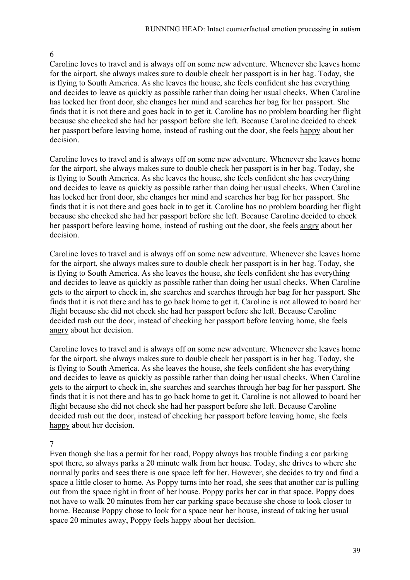#### 6

Caroline loves to travel and is always off on some new adventure. Whenever she leaves home for the airport, she always makes sure to double check her passport is in her bag. Today, she is flying to South America. As she leaves the house, she feels confident she has everything and decides to leave as quickly as possible rather than doing her usual checks. When Caroline has locked her front door, she changes her mind and searches her bag for her passport. She finds that it is not there and goes back in to get it. Caroline has no problem boarding her flight because she checked she had her passport before she left. Because Caroline decided to check her passport before leaving home, instead of rushing out the door, she feels happy about her decision.

Caroline loves to travel and is always off on some new adventure. Whenever she leaves home for the airport, she always makes sure to double check her passport is in her bag. Today, she is flying to South America. As she leaves the house, she feels confident she has everything and decides to leave as quickly as possible rather than doing her usual checks. When Caroline has locked her front door, she changes her mind and searches her bag for her passport. She finds that it is not there and goes back in to get it. Caroline has no problem boarding her flight because she checked she had her passport before she left. Because Caroline decided to check her passport before leaving home, instead of rushing out the door, she feels angry about her decision.

Caroline loves to travel and is always off on some new adventure. Whenever she leaves home for the airport, she always makes sure to double check her passport is in her bag. Today, she is flying to South America. As she leaves the house, she feels confident she has everything and decides to leave as quickly as possible rather than doing her usual checks. When Caroline gets to the airport to check in, she searches and searches through her bag for her passport. She finds that it is not there and has to go back home to get it. Caroline is not allowed to board her flight because she did not check she had her passport before she left. Because Caroline decided rush out the door, instead of checking her passport before leaving home, she feels angry about her decision.

Caroline loves to travel and is always off on some new adventure. Whenever she leaves home for the airport, she always makes sure to double check her passport is in her bag. Today, she is flying to South America. As she leaves the house, she feels confident she has everything and decides to leave as quickly as possible rather than doing her usual checks. When Caroline gets to the airport to check in, she searches and searches through her bag for her passport. She finds that it is not there and has to go back home to get it. Caroline is not allowed to board her flight because she did not check she had her passport before she left. Because Caroline decided rush out the door, instead of checking her passport before leaving home, she feels happy about her decision.

#### 7

Even though she has a permit for her road, Poppy always has trouble finding a car parking spot there, so always parks a 20 minute walk from her house. Today, she drives to where she normally parks and sees there is one space left for her. However, she decides to try and find a space a little closer to home. As Poppy turns into her road, she sees that another car is pulling out from the space right in front of her house. Poppy parks her car in that space. Poppy does not have to walk 20 minutes from her car parking space because she chose to look closer to home. Because Poppy chose to look for a space near her house, instead of taking her usual space 20 minutes away, Poppy feels happy about her decision.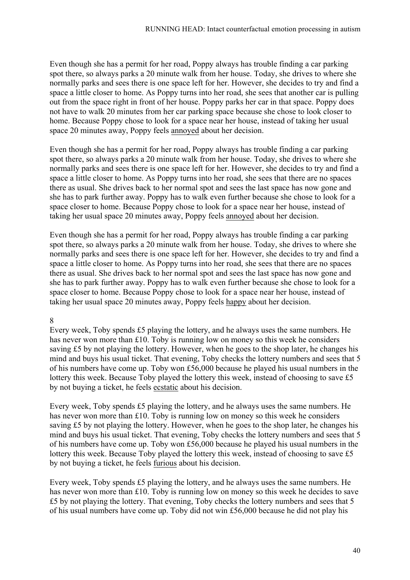Even though she has a permit for her road, Poppy always has trouble finding a car parking spot there, so always parks a 20 minute walk from her house. Today, she drives to where she normally parks and sees there is one space left for her. However, she decides to try and find a space a little closer to home. As Poppy turns into her road, she sees that another car is pulling out from the space right in front of her house. Poppy parks her car in that space. Poppy does not have to walk 20 minutes from her car parking space because she chose to look closer to home. Because Poppy chose to look for a space near her house, instead of taking her usual space 20 minutes away, Poppy feels annoyed about her decision.

Even though she has a permit for her road, Poppy always has trouble finding a car parking spot there, so always parks a 20 minute walk from her house. Today, she drives to where she normally parks and sees there is one space left for her. However, she decides to try and find a space a little closer to home. As Poppy turns into her road, she sees that there are no spaces there as usual. She drives back to her normal spot and sees the last space has now gone and she has to park further away. Poppy has to walk even further because she chose to look for a space closer to home. Because Poppy chose to look for a space near her house, instead of taking her usual space 20 minutes away, Poppy feels annoyed about her decision.

Even though she has a permit for her road, Poppy always has trouble finding a car parking spot there, so always parks a 20 minute walk from her house. Today, she drives to where she normally parks and sees there is one space left for her. However, she decides to try and find a space a little closer to home. As Poppy turns into her road, she sees that there are no spaces there as usual. She drives back to her normal spot and sees the last space has now gone and she has to park further away. Poppy has to walk even further because she chose to look for a space closer to home. Because Poppy chose to look for a space near her house, instead of taking her usual space 20 minutes away, Poppy feels happy about her decision.

# 8

Every week, Toby spends £5 playing the lottery, and he always uses the same numbers. He has never won more than £10. Toby is running low on money so this week he considers saving £5 by not playing the lottery. However, when he goes to the shop later, he changes his mind and buys his usual ticket. That evening, Toby checks the lottery numbers and sees that 5 of his numbers have come up. Toby won £56,000 because he played his usual numbers in the lottery this week. Because Toby played the lottery this week, instead of choosing to save £5 by not buying a ticket, he feels ecstatic about his decision.

Every week, Toby spends £5 playing the lottery, and he always uses the same numbers. He has never won more than £10. Toby is running low on money so this week he considers saving £5 by not playing the lottery. However, when he goes to the shop later, he changes his mind and buys his usual ticket. That evening, Toby checks the lottery numbers and sees that 5 of his numbers have come up. Toby won £56,000 because he played his usual numbers in the lottery this week. Because Toby played the lottery this week, instead of choosing to save £5 by not buying a ticket, he feels furious about his decision.

Every week, Toby spends £5 playing the lottery, and he always uses the same numbers. He has never won more than £10. Toby is running low on money so this week he decides to save £5 by not playing the lottery. That evening, Toby checks the lottery numbers and sees that 5 of his usual numbers have come up. Toby did not win £56,000 because he did not play his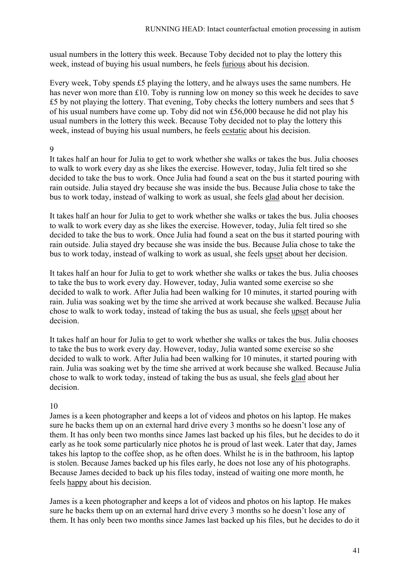usual numbers in the lottery this week. Because Toby decided not to play the lottery this week, instead of buying his usual numbers, he feels furious about his decision.

Every week, Toby spends £5 playing the lottery, and he always uses the same numbers. He has never won more than £10. Toby is running low on money so this week he decides to save £5 by not playing the lottery. That evening, Toby checks the lottery numbers and sees that 5 of his usual numbers have come up. Toby did not win £56,000 because he did not play his usual numbers in the lottery this week. Because Toby decided not to play the lottery this week, instead of buying his usual numbers, he feels ecstatic about his decision.

# $\mathbf Q$

It takes half an hour for Julia to get to work whether she walks or takes the bus. Julia chooses to walk to work every day as she likes the exercise. However, today, Julia felt tired so she decided to take the bus to work. Once Julia had found a seat on the bus it started pouring with rain outside. Julia stayed dry because she was inside the bus. Because Julia chose to take the bus to work today, instead of walking to work as usual, she feels glad about her decision.

It takes half an hour for Julia to get to work whether she walks or takes the bus. Julia chooses to walk to work every day as she likes the exercise. However, today, Julia felt tired so she decided to take the bus to work. Once Julia had found a seat on the bus it started pouring with rain outside. Julia stayed dry because she was inside the bus. Because Julia chose to take the bus to work today, instead of walking to work as usual, she feels upset about her decision.

It takes half an hour for Julia to get to work whether she walks or takes the bus. Julia chooses to take the bus to work every day. However, today, Julia wanted some exercise so she decided to walk to work. After Julia had been walking for 10 minutes, it started pouring with rain. Julia was soaking wet by the time she arrived at work because she walked. Because Julia chose to walk to work today, instead of taking the bus as usual, she feels upset about her decision.

It takes half an hour for Julia to get to work whether she walks or takes the bus. Julia chooses to take the bus to work every day. However, today, Julia wanted some exercise so she decided to walk to work. After Julia had been walking for 10 minutes, it started pouring with rain. Julia was soaking wet by the time she arrived at work because she walked. Because Julia chose to walk to work today, instead of taking the bus as usual, she feels glad about her decision.

# 10

James is a keen photographer and keeps a lot of videos and photos on his laptop. He makes sure he backs them up on an external hard drive every 3 months so he doesn't lose any of them. It has only been two months since James last backed up his files, but he decides to do it early as he took some particularly nice photos he is proud of last week. Later that day, James takes his laptop to the coffee shop, as he often does. Whilst he is in the bathroom, his laptop is stolen. Because James backed up his files early, he does not lose any of his photographs. Because James decided to back up his files today, instead of waiting one more month, he feels happy about his decision.

James is a keen photographer and keeps a lot of videos and photos on his laptop. He makes sure he backs them up on an external hard drive every 3 months so he doesn't lose any of them. It has only been two months since James last backed up his files, but he decides to do it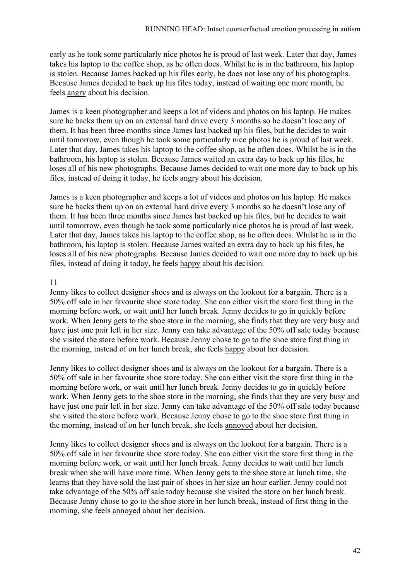early as he took some particularly nice photos he is proud of last week. Later that day, James takes his laptop to the coffee shop, as he often does. Whilst he is in the bathroom, his laptop is stolen. Because James backed up his files early, he does not lose any of his photographs. Because James decided to back up his files today, instead of waiting one more month, he feels angry about his decision.

James is a keen photographer and keeps a lot of videos and photos on his laptop. He makes sure he backs them up on an external hard drive every 3 months so he doesn't lose any of them. It has been three months since James last backed up his files, but he decides to wait until tomorrow, even though he took some particularly nice photos he is proud of last week. Later that day, James takes his laptop to the coffee shop, as he often does. Whilst he is in the bathroom, his laptop is stolen. Because James waited an extra day to back up his files, he loses all of his new photographs. Because James decided to wait one more day to back up his files, instead of doing it today, he feels angry about his decision.

James is a keen photographer and keeps a lot of videos and photos on his laptop. He makes sure he backs them up on an external hard drive every 3 months so he doesn't lose any of them. It has been three months since James last backed up his files, but he decides to wait until tomorrow, even though he took some particularly nice photos he is proud of last week. Later that day, James takes his laptop to the coffee shop, as he often does. Whilst he is in the bathroom, his laptop is stolen. Because James waited an extra day to back up his files, he loses all of his new photographs. Because James decided to wait one more day to back up his files, instead of doing it today, he feels happy about his decision.

# 11

Jenny likes to collect designer shoes and is always on the lookout for a bargain. There is a 50% off sale in her favourite shoe store today. She can either visit the store first thing in the morning before work, or wait until her lunch break. Jenny decides to go in quickly before work. When Jenny gets to the shoe store in the morning, she finds that they are very busy and have just one pair left in her size. Jenny can take advantage of the 50% off sale today because she visited the store before work. Because Jenny chose to go to the shoe store first thing in the morning, instead of on her lunch break, she feels happy about her decision.

Jenny likes to collect designer shoes and is always on the lookout for a bargain. There is a 50% off sale in her favourite shoe store today. She can either visit the store first thing in the morning before work, or wait until her lunch break. Jenny decides to go in quickly before work. When Jenny gets to the shoe store in the morning, she finds that they are very busy and have just one pair left in her size. Jenny can take advantage of the 50% off sale today because she visited the store before work. Because Jenny chose to go to the shoe store first thing in the morning, instead of on her lunch break, she feels annoyed about her decision.

Jenny likes to collect designer shoes and is always on the lookout for a bargain. There is a 50% off sale in her favourite shoe store today. She can either visit the store first thing in the morning before work, or wait until her lunch break. Jenny decides to wait until her lunch break when she will have more time. When Jenny gets to the shoe store at lunch time, she learns that they have sold the last pair of shoes in her size an hour earlier. Jenny could not take advantage of the 50% off sale today because she visited the store on her lunch break. Because Jenny chose to go to the shoe store in her lunch break, instead of first thing in the morning, she feels annoyed about her decision.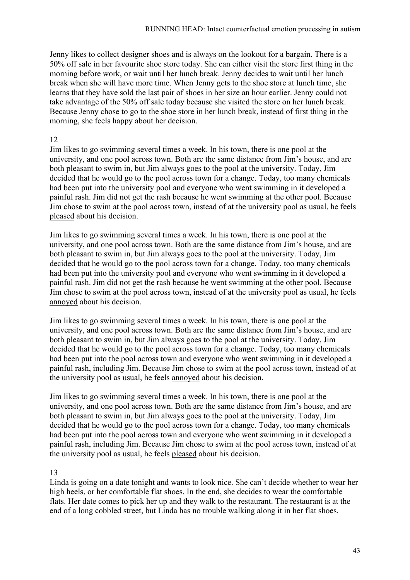Jenny likes to collect designer shoes and is always on the lookout for a bargain. There is a 50% off sale in her favourite shoe store today. She can either visit the store first thing in the morning before work, or wait until her lunch break. Jenny decides to wait until her lunch break when she will have more time. When Jenny gets to the shoe store at lunch time, she learns that they have sold the last pair of shoes in her size an hour earlier. Jenny could not take advantage of the 50% off sale today because she visited the store on her lunch break. Because Jenny chose to go to the shoe store in her lunch break, instead of first thing in the morning, she feels happy about her decision.

# 12

Jim likes to go swimming several times a week. In his town, there is one pool at the university, and one pool across town. Both are the same distance from Jim's house, and are both pleasant to swim in, but Jim always goes to the pool at the university. Today, Jim decided that he would go to the pool across town for a change. Today, too many chemicals had been put into the university pool and everyone who went swimming in it developed a painful rash. Jim did not get the rash because he went swimming at the other pool. Because Jim chose to swim at the pool across town, instead of at the university pool as usual, he feels pleased about his decision.

Jim likes to go swimming several times a week. In his town, there is one pool at the university, and one pool across town. Both are the same distance from Jim's house, and are both pleasant to swim in, but Jim always goes to the pool at the university. Today, Jim decided that he would go to the pool across town for a change. Today, too many chemicals had been put into the university pool and everyone who went swimming in it developed a painful rash. Jim did not get the rash because he went swimming at the other pool. Because Jim chose to swim at the pool across town, instead of at the university pool as usual, he feels annoyed about his decision.

Jim likes to go swimming several times a week. In his town, there is one pool at the university, and one pool across town. Both are the same distance from Jim's house, and are both pleasant to swim in, but Jim always goes to the pool at the university. Today, Jim decided that he would go to the pool across town for a change. Today, too many chemicals had been put into the pool across town and everyone who went swimming in it developed a painful rash, including Jim. Because Jim chose to swim at the pool across town, instead of at the university pool as usual, he feels annoyed about his decision.

Jim likes to go swimming several times a week. In his town, there is one pool at the university, and one pool across town. Both are the same distance from Jim's house, and are both pleasant to swim in, but Jim always goes to the pool at the university. Today, Jim decided that he would go to the pool across town for a change. Today, too many chemicals had been put into the pool across town and everyone who went swimming in it developed a painful rash, including Jim. Because Jim chose to swim at the pool across town, instead of at the university pool as usual, he feels pleased about his decision.

# 13

Linda is going on a date tonight and wants to look nice. She can't decide whether to wear her high heels, or her comfortable flat shoes. In the end, she decides to wear the comfortable flats. Her date comes to pick her up and they walk to the restaurant. The restaurant is at the end of a long cobbled street, but Linda has no trouble walking along it in her flat shoes.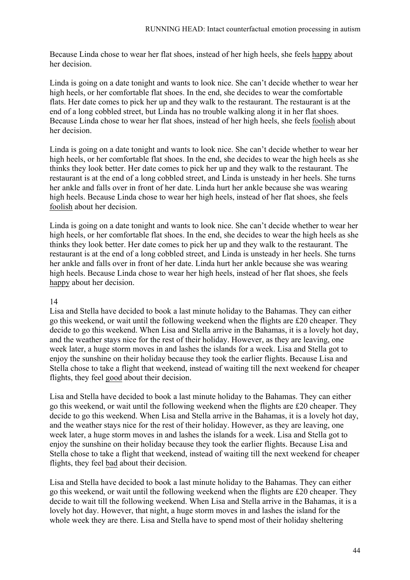Because Linda chose to wear her flat shoes, instead of her high heels, she feels happy about her decision.

Linda is going on a date tonight and wants to look nice. She can't decide whether to wear her high heels, or her comfortable flat shoes. In the end, she decides to wear the comfortable flats. Her date comes to pick her up and they walk to the restaurant. The restaurant is at the end of a long cobbled street, but Linda has no trouble walking along it in her flat shoes. Because Linda chose to wear her flat shoes, instead of her high heels, she feels foolish about her decision.

Linda is going on a date tonight and wants to look nice. She can't decide whether to wear her high heels, or her comfortable flat shoes. In the end, she decides to wear the high heels as she thinks they look better. Her date comes to pick her up and they walk to the restaurant. The restaurant is at the end of a long cobbled street, and Linda is unsteady in her heels. She turns her ankle and falls over in front of her date. Linda hurt her ankle because she was wearing high heels. Because Linda chose to wear her high heels, instead of her flat shoes, she feels foolish about her decision.

Linda is going on a date tonight and wants to look nice. She can't decide whether to wear her high heels, or her comfortable flat shoes. In the end, she decides to wear the high heels as she thinks they look better. Her date comes to pick her up and they walk to the restaurant. The restaurant is at the end of a long cobbled street, and Linda is unsteady in her heels. She turns her ankle and falls over in front of her date. Linda hurt her ankle because she was wearing high heels. Because Linda chose to wear her high heels, instead of her flat shoes, she feels happy about her decision.

# 14

Lisa and Stella have decided to book a last minute holiday to the Bahamas. They can either go this weekend, or wait until the following weekend when the flights are £20 cheaper. They decide to go this weekend. When Lisa and Stella arrive in the Bahamas, it is a lovely hot day, and the weather stays nice for the rest of their holiday. However, as they are leaving, one week later, a huge storm moves in and lashes the islands for a week. Lisa and Stella got to enjoy the sunshine on their holiday because they took the earlier flights. Because Lisa and Stella chose to take a flight that weekend, instead of waiting till the next weekend for cheaper flights, they feel good about their decision.

Lisa and Stella have decided to book a last minute holiday to the Bahamas. They can either go this weekend, or wait until the following weekend when the flights are £20 cheaper. They decide to go this weekend. When Lisa and Stella arrive in the Bahamas, it is a lovely hot day, and the weather stays nice for the rest of their holiday. However, as they are leaving, one week later, a huge storm moves in and lashes the islands for a week. Lisa and Stella got to enjoy the sunshine on their holiday because they took the earlier flights. Because Lisa and Stella chose to take a flight that weekend, instead of waiting till the next weekend for cheaper flights, they feel bad about their decision.

Lisa and Stella have decided to book a last minute holiday to the Bahamas. They can either go this weekend, or wait until the following weekend when the flights are £20 cheaper. They decide to wait till the following weekend. When Lisa and Stella arrive in the Bahamas, it is a lovely hot day. However, that night, a huge storm moves in and lashes the island for the whole week they are there. Lisa and Stella have to spend most of their holiday sheltering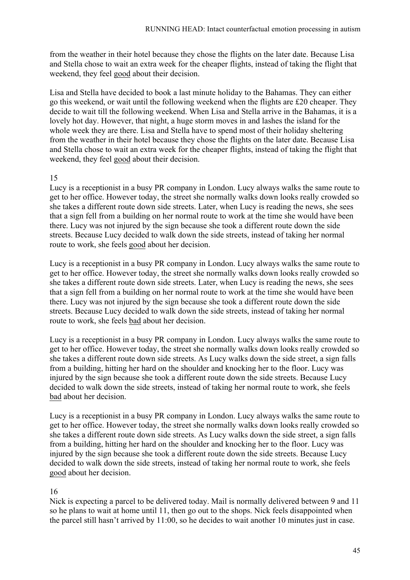from the weather in their hotel because they chose the flights on the later date. Because Lisa and Stella chose to wait an extra week for the cheaper flights, instead of taking the flight that weekend, they feel good about their decision.

Lisa and Stella have decided to book a last minute holiday to the Bahamas. They can either go this weekend, or wait until the following weekend when the flights are £20 cheaper. They decide to wait till the following weekend. When Lisa and Stella arrive in the Bahamas, it is a lovely hot day. However, that night, a huge storm moves in and lashes the island for the whole week they are there. Lisa and Stella have to spend most of their holiday sheltering from the weather in their hotel because they chose the flights on the later date. Because Lisa and Stella chose to wait an extra week for the cheaper flights, instead of taking the flight that weekend, they feel good about their decision.

# 15

Lucy is a receptionist in a busy PR company in London. Lucy always walks the same route to get to her office. However today, the street she normally walks down looks really crowded so she takes a different route down side streets. Later, when Lucy is reading the news, she sees that a sign fell from a building on her normal route to work at the time she would have been there. Lucy was not injured by the sign because she took a different route down the side streets. Because Lucy decided to walk down the side streets, instead of taking her normal route to work, she feels good about her decision.

Lucy is a receptionist in a busy PR company in London. Lucy always walks the same route to get to her office. However today, the street she normally walks down looks really crowded so she takes a different route down side streets. Later, when Lucy is reading the news, she sees that a sign fell from a building on her normal route to work at the time she would have been there. Lucy was not injured by the sign because she took a different route down the side streets. Because Lucy decided to walk down the side streets, instead of taking her normal route to work, she feels bad about her decision.

Lucy is a receptionist in a busy PR company in London. Lucy always walks the same route to get to her office. However today, the street she normally walks down looks really crowded so she takes a different route down side streets. As Lucy walks down the side street, a sign falls from a building, hitting her hard on the shoulder and knocking her to the floor. Lucy was injured by the sign because she took a different route down the side streets. Because Lucy decided to walk down the side streets, instead of taking her normal route to work, she feels bad about her decision.

Lucy is a receptionist in a busy PR company in London. Lucy always walks the same route to get to her office. However today, the street she normally walks down looks really crowded so she takes a different route down side streets. As Lucy walks down the side street, a sign falls from a building, hitting her hard on the shoulder and knocking her to the floor. Lucy was injured by the sign because she took a different route down the side streets. Because Lucy decided to walk down the side streets, instead of taking her normal route to work, she feels good about her decision.

# 16

Nick is expecting a parcel to be delivered today. Mail is normally delivered between 9 and 11 so he plans to wait at home until 11, then go out to the shops. Nick feels disappointed when the parcel still hasn't arrived by 11:00, so he decides to wait another 10 minutes just in case.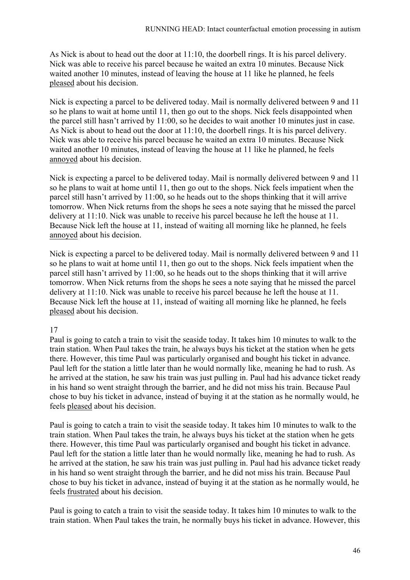As Nick is about to head out the door at 11:10, the doorbell rings. It is his parcel delivery. Nick was able to receive his parcel because he waited an extra 10 minutes. Because Nick waited another 10 minutes, instead of leaving the house at 11 like he planned, he feels pleased about his decision.

Nick is expecting a parcel to be delivered today. Mail is normally delivered between 9 and 11 so he plans to wait at home until 11, then go out to the shops. Nick feels disappointed when the parcel still hasn't arrived by 11:00, so he decides to wait another 10 minutes just in case. As Nick is about to head out the door at 11:10, the doorbell rings. It is his parcel delivery. Nick was able to receive his parcel because he waited an extra 10 minutes. Because Nick waited another 10 minutes, instead of leaving the house at 11 like he planned, he feels annoyed about his decision.

Nick is expecting a parcel to be delivered today. Mail is normally delivered between 9 and 11 so he plans to wait at home until 11, then go out to the shops. Nick feels impatient when the parcel still hasn't arrived by 11:00, so he heads out to the shops thinking that it will arrive tomorrow. When Nick returns from the shops he sees a note saying that he missed the parcel delivery at 11:10. Nick was unable to receive his parcel because he left the house at 11. Because Nick left the house at 11, instead of waiting all morning like he planned, he feels annoyed about his decision.

Nick is expecting a parcel to be delivered today. Mail is normally delivered between 9 and 11 so he plans to wait at home until 11, then go out to the shops. Nick feels impatient when the parcel still hasn't arrived by 11:00, so he heads out to the shops thinking that it will arrive tomorrow. When Nick returns from the shops he sees a note saying that he missed the parcel delivery at 11:10. Nick was unable to receive his parcel because he left the house at 11. Because Nick left the house at 11, instead of waiting all morning like he planned, he feels pleased about his decision.

# 17

Paul is going to catch a train to visit the seaside today. It takes him 10 minutes to walk to the train station. When Paul takes the train, he always buys his ticket at the station when he gets there. However, this time Paul was particularly organised and bought his ticket in advance. Paul left for the station a little later than he would normally like, meaning he had to rush. As he arrived at the station, he saw his train was just pulling in. Paul had his advance ticket ready in his hand so went straight through the barrier, and he did not miss his train. Because Paul chose to buy his ticket in advance, instead of buying it at the station as he normally would, he feels pleased about his decision.

Paul is going to catch a train to visit the seaside today. It takes him 10 minutes to walk to the train station. When Paul takes the train, he always buys his ticket at the station when he gets there. However, this time Paul was particularly organised and bought his ticket in advance. Paul left for the station a little later than he would normally like, meaning he had to rush. As he arrived at the station, he saw his train was just pulling in. Paul had his advance ticket ready in his hand so went straight through the barrier, and he did not miss his train. Because Paul chose to buy his ticket in advance, instead of buying it at the station as he normally would, he feels frustrated about his decision.

Paul is going to catch a train to visit the seaside today. It takes him 10 minutes to walk to the train station. When Paul takes the train, he normally buys his ticket in advance. However, this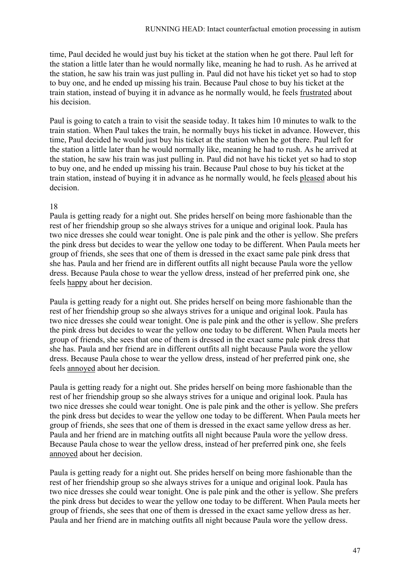time, Paul decided he would just buy his ticket at the station when he got there. Paul left for the station a little later than he would normally like, meaning he had to rush. As he arrived at the station, he saw his train was just pulling in. Paul did not have his ticket yet so had to stop to buy one, and he ended up missing his train. Because Paul chose to buy his ticket at the train station, instead of buying it in advance as he normally would, he feels frustrated about his decision.

Paul is going to catch a train to visit the seaside today. It takes him 10 minutes to walk to the train station. When Paul takes the train, he normally buys his ticket in advance. However, this time, Paul decided he would just buy his ticket at the station when he got there. Paul left for the station a little later than he would normally like, meaning he had to rush. As he arrived at the station, he saw his train was just pulling in. Paul did not have his ticket yet so had to stop to buy one, and he ended up missing his train. Because Paul chose to buy his ticket at the train station, instead of buying it in advance as he normally would, he feels pleased about his decision.

# 18

Paula is getting ready for a night out. She prides herself on being more fashionable than the rest of her friendship group so she always strives for a unique and original look. Paula has two nice dresses she could wear tonight. One is pale pink and the other is yellow. She prefers the pink dress but decides to wear the yellow one today to be different. When Paula meets her group of friends, she sees that one of them is dressed in the exact same pale pink dress that she has. Paula and her friend are in different outfits all night because Paula wore the yellow dress. Because Paula chose to wear the yellow dress, instead of her preferred pink one, she feels happy about her decision.

Paula is getting ready for a night out. She prides herself on being more fashionable than the rest of her friendship group so she always strives for a unique and original look. Paula has two nice dresses she could wear tonight. One is pale pink and the other is yellow. She prefers the pink dress but decides to wear the yellow one today to be different. When Paula meets her group of friends, she sees that one of them is dressed in the exact same pale pink dress that she has. Paula and her friend are in different outfits all night because Paula wore the yellow dress. Because Paula chose to wear the yellow dress, instead of her preferred pink one, she feels annoyed about her decision.

Paula is getting ready for a night out. She prides herself on being more fashionable than the rest of her friendship group so she always strives for a unique and original look. Paula has two nice dresses she could wear tonight. One is pale pink and the other is yellow. She prefers the pink dress but decides to wear the yellow one today to be different. When Paula meets her group of friends, she sees that one of them is dressed in the exact same yellow dress as her. Paula and her friend are in matching outfits all night because Paula wore the yellow dress. Because Paula chose to wear the yellow dress, instead of her preferred pink one, she feels annoyed about her decision.

Paula is getting ready for a night out. She prides herself on being more fashionable than the rest of her friendship group so she always strives for a unique and original look. Paula has two nice dresses she could wear tonight. One is pale pink and the other is yellow. She prefers the pink dress but decides to wear the yellow one today to be different. When Paula meets her group of friends, she sees that one of them is dressed in the exact same yellow dress as her. Paula and her friend are in matching outfits all night because Paula wore the yellow dress.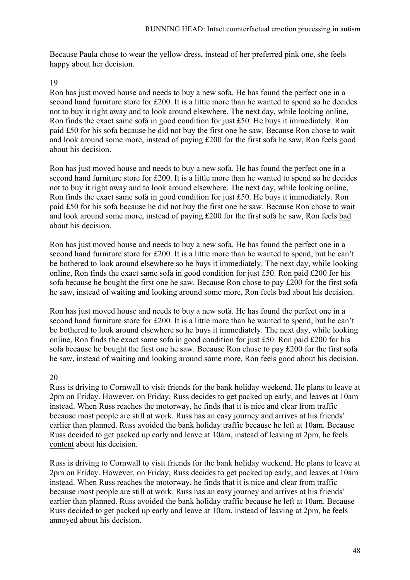Because Paula chose to wear the yellow dress, instead of her preferred pink one, she feels happy about her decision.

# 19

Ron has just moved house and needs to buy a new sofa. He has found the perfect one in a second hand furniture store for £200. It is a little more than he wanted to spend so he decides not to buy it right away and to look around elsewhere. The next day, while looking online, Ron finds the exact same sofa in good condition for just £50. He buys it immediately. Ron paid £50 for his sofa because he did not buy the first one he saw. Because Ron chose to wait and look around some more, instead of paying £200 for the first sofa he saw, Ron feels good about his decision.

Ron has just moved house and needs to buy a new sofa. He has found the perfect one in a second hand furniture store for £200. It is a little more than he wanted to spend so he decides not to buy it right away and to look around elsewhere. The next day, while looking online, Ron finds the exact same sofa in good condition for just £50. He buys it immediately. Ron paid £50 for his sofa because he did not buy the first one he saw. Because Ron chose to wait and look around some more, instead of paying £200 for the first sofa he saw, Ron feels bad about his decision.

Ron has just moved house and needs to buy a new sofa. He has found the perfect one in a second hand furniture store for £200. It is a little more than he wanted to spend, but he can't be bothered to look around elsewhere so he buys it immediately. The next day, while looking online, Ron finds the exact same sofa in good condition for just £50. Ron paid £200 for his sofa because he bought the first one he saw. Because Ron chose to pay £200 for the first sofa he saw, instead of waiting and looking around some more, Ron feels bad about his decision.

Ron has just moved house and needs to buy a new sofa. He has found the perfect one in a second hand furniture store for £200. It is a little more than he wanted to spend, but he can't be bothered to look around elsewhere so he buys it immediately. The next day, while looking online, Ron finds the exact same sofa in good condition for just £50. Ron paid £200 for his sofa because he bought the first one he saw. Because Ron chose to pay £200 for the first sofa he saw, instead of waiting and looking around some more, Ron feels good about his decision.

# 20

Russ is driving to Cornwall to visit friends for the bank holiday weekend. He plans to leave at 2pm on Friday. However, on Friday, Russ decides to get packed up early, and leaves at 10am instead. When Russ reaches the motorway, he finds that it is nice and clear from traffic because most people are still at work. Russ has an easy journey and arrives at his friends' earlier than planned. Russ avoided the bank holiday traffic because he left at 10am. Because Russ decided to get packed up early and leave at 10am, instead of leaving at 2pm, he feels content about his decision.

Russ is driving to Cornwall to visit friends for the bank holiday weekend. He plans to leave at 2pm on Friday. However, on Friday, Russ decides to get packed up early, and leaves at 10am instead. When Russ reaches the motorway, he finds that it is nice and clear from traffic because most people are still at work. Russ has an easy journey and arrives at his friends' earlier than planned. Russ avoided the bank holiday traffic because he left at 10am. Because Russ decided to get packed up early and leave at 10am, instead of leaving at 2pm, he feels annoyed about his decision.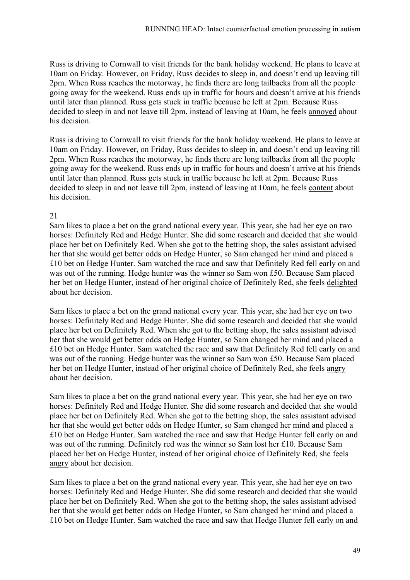Russ is driving to Cornwall to visit friends for the bank holiday weekend. He plans to leave at 10am on Friday. However, on Friday, Russ decides to sleep in, and doesn't end up leaving till 2pm. When Russ reaches the motorway, he finds there are long tailbacks from all the people going away for the weekend. Russ ends up in traffic for hours and doesn't arrive at his friends until later than planned. Russ gets stuck in traffic because he left at 2pm. Because Russ decided to sleep in and not leave till 2pm, instead of leaving at 10am, he feels annoyed about his decision.

Russ is driving to Cornwall to visit friends for the bank holiday weekend. He plans to leave at 10am on Friday. However, on Friday, Russ decides to sleep in, and doesn't end up leaving till 2pm. When Russ reaches the motorway, he finds there are long tailbacks from all the people going away for the weekend. Russ ends up in traffic for hours and doesn't arrive at his friends until later than planned. Russ gets stuck in traffic because he left at 2pm. Because Russ decided to sleep in and not leave till 2pm, instead of leaving at 10am, he feels content about his decision.

# 21

Sam likes to place a bet on the grand national every year. This year, she had her eye on two horses: Definitely Red and Hedge Hunter. She did some research and decided that she would place her bet on Definitely Red. When she got to the betting shop, the sales assistant advised her that she would get better odds on Hedge Hunter, so Sam changed her mind and placed a £10 bet on Hedge Hunter. Sam watched the race and saw that Definitely Red fell early on and was out of the running. Hedge hunter was the winner so Sam won £50. Because Sam placed her bet on Hedge Hunter, instead of her original choice of Definitely Red, she feels delighted about her decision.

Sam likes to place a bet on the grand national every year. This year, she had her eye on two horses: Definitely Red and Hedge Hunter. She did some research and decided that she would place her bet on Definitely Red. When she got to the betting shop, the sales assistant advised her that she would get better odds on Hedge Hunter, so Sam changed her mind and placed a £10 bet on Hedge Hunter. Sam watched the race and saw that Definitely Red fell early on and was out of the running. Hedge hunter was the winner so Sam won £50. Because Sam placed her bet on Hedge Hunter, instead of her original choice of Definitely Red, she feels angry about her decision.

Sam likes to place a bet on the grand national every year. This year, she had her eye on two horses: Definitely Red and Hedge Hunter. She did some research and decided that she would place her bet on Definitely Red. When she got to the betting shop, the sales assistant advised her that she would get better odds on Hedge Hunter, so Sam changed her mind and placed a £10 bet on Hedge Hunter. Sam watched the race and saw that Hedge Hunter fell early on and was out of the running. Definitely red was the winner so Sam lost her £10. Because Sam placed her bet on Hedge Hunter, instead of her original choice of Definitely Red, she feels angry about her decision.

Sam likes to place a bet on the grand national every year. This year, she had her eye on two horses: Definitely Red and Hedge Hunter. She did some research and decided that she would place her bet on Definitely Red. When she got to the betting shop, the sales assistant advised her that she would get better odds on Hedge Hunter, so Sam changed her mind and placed a £10 bet on Hedge Hunter. Sam watched the race and saw that Hedge Hunter fell early on and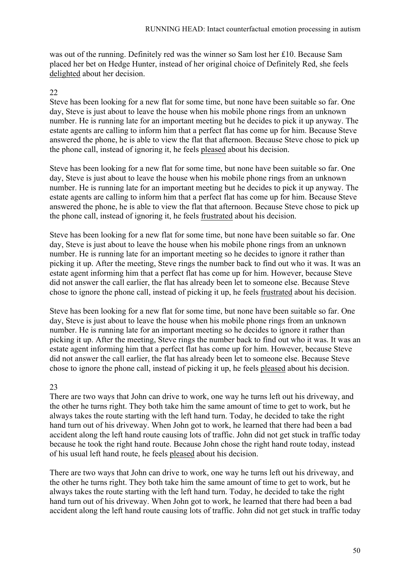was out of the running. Definitely red was the winner so Sam lost her £10. Because Sam placed her bet on Hedge Hunter, instead of her original choice of Definitely Red, she feels delighted about her decision.

# 22

Steve has been looking for a new flat for some time, but none have been suitable so far. One day, Steve is just about to leave the house when his mobile phone rings from an unknown number. He is running late for an important meeting but he decides to pick it up anyway. The estate agents are calling to inform him that a perfect flat has come up for him. Because Steve answered the phone, he is able to view the flat that afternoon. Because Steve chose to pick up the phone call, instead of ignoring it, he feels pleased about his decision.

Steve has been looking for a new flat for some time, but none have been suitable so far. One day, Steve is just about to leave the house when his mobile phone rings from an unknown number. He is running late for an important meeting but he decides to pick it up anyway. The estate agents are calling to inform him that a perfect flat has come up for him. Because Steve answered the phone, he is able to view the flat that afternoon. Because Steve chose to pick up the phone call, instead of ignoring it, he feels frustrated about his decision.

Steve has been looking for a new flat for some time, but none have been suitable so far. One day, Steve is just about to leave the house when his mobile phone rings from an unknown number. He is running late for an important meeting so he decides to ignore it rather than picking it up. After the meeting, Steve rings the number back to find out who it was. It was an estate agent informing him that a perfect flat has come up for him. However, because Steve did not answer the call earlier, the flat has already been let to someone else. Because Steve chose to ignore the phone call, instead of picking it up, he feels frustrated about his decision.

Steve has been looking for a new flat for some time, but none have been suitable so far. One day, Steve is just about to leave the house when his mobile phone rings from an unknown number. He is running late for an important meeting so he decides to ignore it rather than picking it up. After the meeting, Steve rings the number back to find out who it was. It was an estate agent informing him that a perfect flat has come up for him. However, because Steve did not answer the call earlier, the flat has already been let to someone else. Because Steve chose to ignore the phone call, instead of picking it up, he feels pleased about his decision.

# 23

There are two ways that John can drive to work, one way he turns left out his driveway, and the other he turns right. They both take him the same amount of time to get to work, but he always takes the route starting with the left hand turn. Today, he decided to take the right hand turn out of his driveway. When John got to work, he learned that there had been a bad accident along the left hand route causing lots of traffic. John did not get stuck in traffic today because he took the right hand route. Because John chose the right hand route today, instead of his usual left hand route, he feels pleased about his decision.

There are two ways that John can drive to work, one way he turns left out his driveway, and the other he turns right. They both take him the same amount of time to get to work, but he always takes the route starting with the left hand turn. Today, he decided to take the right hand turn out of his driveway. When John got to work, he learned that there had been a bad accident along the left hand route causing lots of traffic. John did not get stuck in traffic today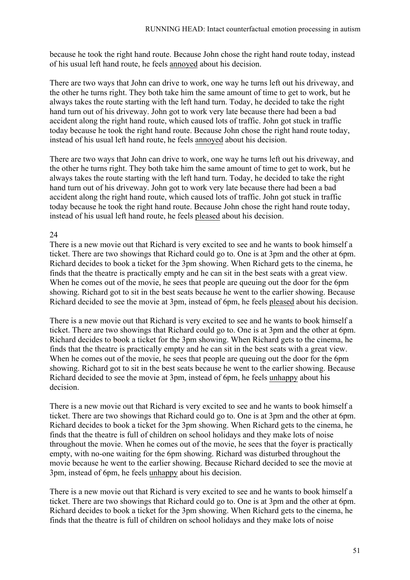because he took the right hand route. Because John chose the right hand route today, instead of his usual left hand route, he feels annoyed about his decision.

There are two ways that John can drive to work, one way he turns left out his driveway, and the other he turns right. They both take him the same amount of time to get to work, but he always takes the route starting with the left hand turn. Today, he decided to take the right hand turn out of his driveway. John got to work very late because there had been a bad accident along the right hand route, which caused lots of traffic. John got stuck in traffic today because he took the right hand route. Because John chose the right hand route today, instead of his usual left hand route, he feels annoyed about his decision.

There are two ways that John can drive to work, one way he turns left out his driveway, and the other he turns right. They both take him the same amount of time to get to work, but he always takes the route starting with the left hand turn. Today, he decided to take the right hand turn out of his driveway. John got to work very late because there had been a bad accident along the right hand route, which caused lots of traffic. John got stuck in traffic today because he took the right hand route. Because John chose the right hand route today, instead of his usual left hand route, he feels pleased about his decision.

# 24

There is a new movie out that Richard is very excited to see and he wants to book himself a ticket. There are two showings that Richard could go to. One is at 3pm and the other at 6pm. Richard decides to book a ticket for the 3pm showing. When Richard gets to the cinema, he finds that the theatre is practically empty and he can sit in the best seats with a great view. When he comes out of the movie, he sees that people are queuing out the door for the 6pm showing. Richard got to sit in the best seats because he went to the earlier showing. Because Richard decided to see the movie at 3pm, instead of 6pm, he feels pleased about his decision.

There is a new movie out that Richard is very excited to see and he wants to book himself a ticket. There are two showings that Richard could go to. One is at 3pm and the other at 6pm. Richard decides to book a ticket for the 3pm showing. When Richard gets to the cinema, he finds that the theatre is practically empty and he can sit in the best seats with a great view. When he comes out of the movie, he sees that people are queuing out the door for the 6pm showing. Richard got to sit in the best seats because he went to the earlier showing. Because Richard decided to see the movie at 3pm, instead of 6pm, he feels unhappy about his decision.

There is a new movie out that Richard is very excited to see and he wants to book himself a ticket. There are two showings that Richard could go to. One is at 3pm and the other at 6pm. Richard decides to book a ticket for the 3pm showing. When Richard gets to the cinema, he finds that the theatre is full of children on school holidays and they make lots of noise throughout the movie. When he comes out of the movie, he sees that the foyer is practically empty, with no-one waiting for the 6pm showing. Richard was disturbed throughout the movie because he went to the earlier showing. Because Richard decided to see the movie at 3pm, instead of 6pm, he feels unhappy about his decision.

There is a new movie out that Richard is very excited to see and he wants to book himself a ticket. There are two showings that Richard could go to. One is at 3pm and the other at 6pm. Richard decides to book a ticket for the 3pm showing. When Richard gets to the cinema, he finds that the theatre is full of children on school holidays and they make lots of noise